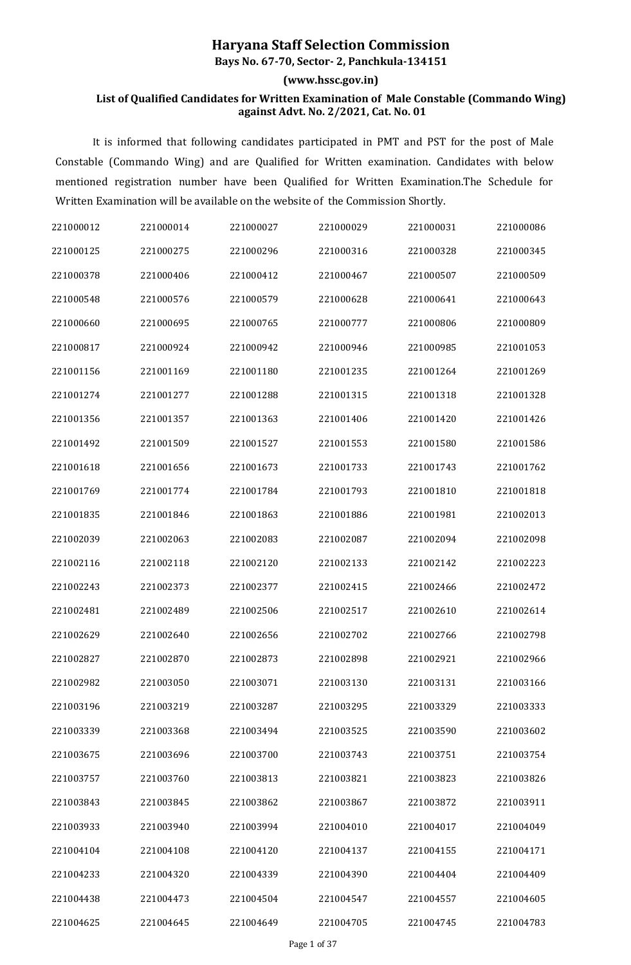## **Haryana Staff Selection Commission**

**Bays No. 67-70, Sector- 2, Panchkula-134151**

## **(www.hssc.gov.in)**

## **List of Qualified Candidates for Written Examination of Male Constable (Commando Wing) against Advt. No. 2/2021, Cat. No. 01**

It is informed that following candidates participated in PMT and PST for the post of Male Constable (Commando Wing) and are Qualified for Written examination. Candidates with below mentioned registration number have been Qualified for Written Examination.The Schedule for Written Examination will be available on the website of the Commission Shortly.

| 221000012 | 221000014 | 221000027 | 221000029 | 221000031 | 221000086 |
|-----------|-----------|-----------|-----------|-----------|-----------|
| 221000125 | 221000275 | 221000296 | 221000316 | 221000328 | 221000345 |
| 221000378 | 221000406 | 221000412 | 221000467 | 221000507 | 221000509 |
| 221000548 | 221000576 | 221000579 | 221000628 | 221000641 | 221000643 |
| 221000660 | 221000695 | 221000765 | 221000777 | 221000806 | 221000809 |
| 221000817 | 221000924 | 221000942 | 221000946 | 221000985 | 221001053 |
| 221001156 | 221001169 | 221001180 | 221001235 | 221001264 | 221001269 |
| 221001274 | 221001277 | 221001288 | 221001315 | 221001318 | 221001328 |
| 221001356 | 221001357 | 221001363 | 221001406 | 221001420 | 221001426 |
| 221001492 | 221001509 | 221001527 | 221001553 | 221001580 | 221001586 |
| 221001618 | 221001656 | 221001673 | 221001733 | 221001743 | 221001762 |
| 221001769 | 221001774 | 221001784 | 221001793 | 221001810 | 221001818 |
| 221001835 | 221001846 | 221001863 | 221001886 | 221001981 | 221002013 |
| 221002039 | 221002063 | 221002083 | 221002087 | 221002094 | 221002098 |
| 221002116 | 221002118 | 221002120 | 221002133 | 221002142 | 221002223 |
| 221002243 | 221002373 | 221002377 | 221002415 | 221002466 | 221002472 |
| 221002481 | 221002489 | 221002506 | 221002517 | 221002610 | 221002614 |
| 221002629 | 221002640 | 221002656 | 221002702 | 221002766 | 221002798 |
| 221002827 | 221002870 | 221002873 | 221002898 | 221002921 | 221002966 |
| 221002982 | 221003050 | 221003071 | 221003130 | 221003131 | 221003166 |
| 221003196 | 221003219 | 221003287 | 221003295 | 221003329 | 221003333 |
| 221003339 | 221003368 | 221003494 | 221003525 | 221003590 | 221003602 |
| 221003675 | 221003696 | 221003700 | 221003743 | 221003751 | 221003754 |
| 221003757 | 221003760 | 221003813 | 221003821 | 221003823 | 221003826 |
| 221003843 | 221003845 | 221003862 | 221003867 | 221003872 | 221003911 |
| 221003933 | 221003940 | 221003994 | 221004010 | 221004017 | 221004049 |
| 221004104 | 221004108 | 221004120 | 221004137 | 221004155 | 221004171 |
| 221004233 | 221004320 | 221004339 | 221004390 | 221004404 | 221004409 |
| 221004438 | 221004473 | 221004504 | 221004547 | 221004557 | 221004605 |
| 221004625 | 221004645 | 221004649 | 221004705 | 221004745 | 221004783 |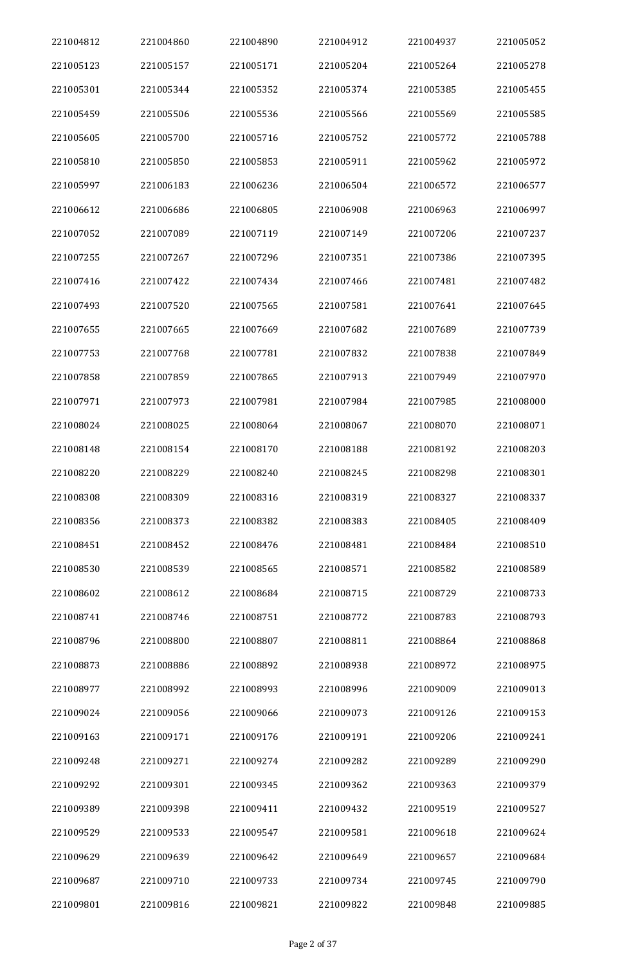| 221004812 | 221004860 | 221004890 | 221004912 | 221004937 | 221005052 |
|-----------|-----------|-----------|-----------|-----------|-----------|
| 221005123 | 221005157 | 221005171 | 221005204 | 221005264 | 221005278 |
| 221005301 | 221005344 | 221005352 | 221005374 | 221005385 | 221005455 |
| 221005459 | 221005506 | 221005536 | 221005566 | 221005569 | 221005585 |
| 221005605 | 221005700 | 221005716 | 221005752 | 221005772 | 221005788 |
| 221005810 | 221005850 | 221005853 | 221005911 | 221005962 | 221005972 |
| 221005997 | 221006183 | 221006236 | 221006504 | 221006572 | 221006577 |
| 221006612 | 221006686 | 221006805 | 221006908 | 221006963 | 221006997 |
| 221007052 | 221007089 | 221007119 | 221007149 | 221007206 | 221007237 |
| 221007255 | 221007267 | 221007296 | 221007351 | 221007386 | 221007395 |
| 221007416 | 221007422 | 221007434 | 221007466 | 221007481 | 221007482 |
| 221007493 | 221007520 | 221007565 | 221007581 | 221007641 | 221007645 |
| 221007655 | 221007665 | 221007669 | 221007682 | 221007689 | 221007739 |
| 221007753 | 221007768 | 221007781 | 221007832 | 221007838 | 221007849 |
| 221007858 | 221007859 | 221007865 | 221007913 | 221007949 | 221007970 |
| 221007971 | 221007973 | 221007981 | 221007984 | 221007985 | 221008000 |
| 221008024 | 221008025 | 221008064 | 221008067 | 221008070 | 221008071 |
| 221008148 | 221008154 | 221008170 | 221008188 | 221008192 | 221008203 |
| 221008220 | 221008229 | 221008240 | 221008245 | 221008298 | 221008301 |
| 221008308 | 221008309 | 221008316 | 221008319 | 221008327 | 221008337 |
| 221008356 | 221008373 | 221008382 | 221008383 | 221008405 | 221008409 |
| 221008451 | 221008452 | 221008476 | 221008481 | 221008484 | 221008510 |
| 221008530 | 221008539 | 221008565 | 221008571 | 221008582 | 221008589 |
| 221008602 | 221008612 | 221008684 | 221008715 | 221008729 | 221008733 |
| 221008741 | 221008746 | 221008751 | 221008772 | 221008783 | 221008793 |
| 221008796 | 221008800 | 221008807 | 221008811 | 221008864 | 221008868 |
| 221008873 | 221008886 | 221008892 | 221008938 | 221008972 | 221008975 |
| 221008977 | 221008992 | 221008993 | 221008996 | 221009009 | 221009013 |
| 221009024 | 221009056 | 221009066 | 221009073 | 221009126 | 221009153 |
| 221009163 | 221009171 | 221009176 | 221009191 | 221009206 | 221009241 |
| 221009248 | 221009271 | 221009274 | 221009282 | 221009289 | 221009290 |
| 221009292 | 221009301 | 221009345 | 221009362 | 221009363 | 221009379 |
| 221009389 | 221009398 | 221009411 | 221009432 | 221009519 | 221009527 |
| 221009529 | 221009533 | 221009547 | 221009581 | 221009618 | 221009624 |
| 221009629 | 221009639 | 221009642 | 221009649 | 221009657 | 221009684 |
| 221009687 | 221009710 | 221009733 | 221009734 | 221009745 | 221009790 |
| 221009801 | 221009816 | 221009821 | 221009822 | 221009848 | 221009885 |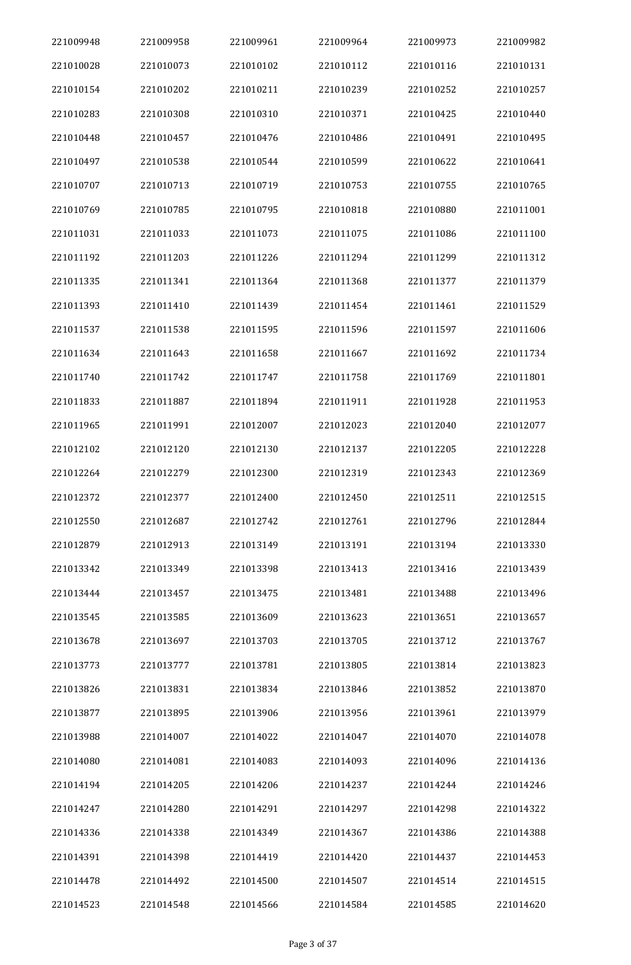| 221009948 | 221009958 | 221009961 | 221009964 | 221009973 | 221009982 |
|-----------|-----------|-----------|-----------|-----------|-----------|
| 221010028 | 221010073 | 221010102 | 221010112 | 221010116 | 221010131 |
| 221010154 | 221010202 | 221010211 | 221010239 | 221010252 | 221010257 |
| 221010283 | 221010308 | 221010310 | 221010371 | 221010425 | 221010440 |
| 221010448 | 221010457 | 221010476 | 221010486 | 221010491 | 221010495 |
| 221010497 | 221010538 | 221010544 | 221010599 | 221010622 | 221010641 |
| 221010707 | 221010713 | 221010719 | 221010753 | 221010755 | 221010765 |
| 221010769 | 221010785 | 221010795 | 221010818 | 221010880 | 221011001 |
| 221011031 | 221011033 | 221011073 | 221011075 | 221011086 | 221011100 |
| 221011192 | 221011203 | 221011226 | 221011294 | 221011299 | 221011312 |
| 221011335 | 221011341 | 221011364 | 221011368 | 221011377 | 221011379 |
| 221011393 | 221011410 | 221011439 | 221011454 | 221011461 | 221011529 |
| 221011537 | 221011538 | 221011595 | 221011596 | 221011597 | 221011606 |
| 221011634 | 221011643 | 221011658 | 221011667 | 221011692 | 221011734 |
| 221011740 | 221011742 | 221011747 | 221011758 | 221011769 | 221011801 |
| 221011833 | 221011887 | 221011894 | 221011911 | 221011928 | 221011953 |
| 221011965 | 221011991 | 221012007 | 221012023 | 221012040 | 221012077 |
| 221012102 | 221012120 | 221012130 | 221012137 | 221012205 | 221012228 |
| 221012264 | 221012279 | 221012300 | 221012319 | 221012343 | 221012369 |
| 221012372 | 221012377 | 221012400 | 221012450 | 221012511 | 221012515 |
| 221012550 | 221012687 | 221012742 | 221012761 | 221012796 | 221012844 |
| 221012879 | 221012913 | 221013149 | 221013191 | 221013194 | 221013330 |
| 221013342 | 221013349 | 221013398 | 221013413 | 221013416 | 221013439 |
| 221013444 | 221013457 | 221013475 | 221013481 | 221013488 | 221013496 |
| 221013545 | 221013585 | 221013609 | 221013623 | 221013651 | 221013657 |
| 221013678 | 221013697 | 221013703 | 221013705 | 221013712 | 221013767 |
| 221013773 | 221013777 | 221013781 | 221013805 | 221013814 | 221013823 |
| 221013826 | 221013831 | 221013834 | 221013846 | 221013852 | 221013870 |
| 221013877 | 221013895 | 221013906 | 221013956 | 221013961 | 221013979 |
| 221013988 | 221014007 | 221014022 | 221014047 | 221014070 | 221014078 |
| 221014080 | 221014081 | 221014083 | 221014093 | 221014096 | 221014136 |
| 221014194 | 221014205 | 221014206 | 221014237 | 221014244 | 221014246 |
| 221014247 | 221014280 | 221014291 | 221014297 | 221014298 | 221014322 |
| 221014336 | 221014338 | 221014349 | 221014367 | 221014386 | 221014388 |
| 221014391 | 221014398 | 221014419 | 221014420 | 221014437 | 221014453 |
| 221014478 | 221014492 | 221014500 | 221014507 | 221014514 | 221014515 |
| 221014523 | 221014548 | 221014566 | 221014584 | 221014585 | 221014620 |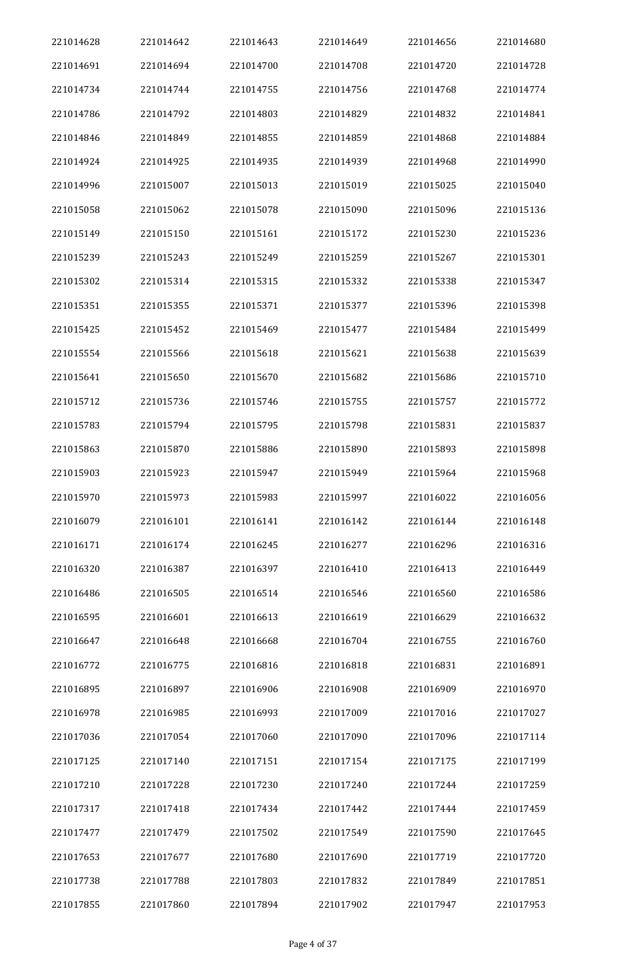| 221014628 | 221014642 | 221014643 | 221014649 | 221014656 | 221014680 |
|-----------|-----------|-----------|-----------|-----------|-----------|
| 221014691 | 221014694 | 221014700 | 221014708 | 221014720 | 221014728 |
| 221014734 | 221014744 | 221014755 | 221014756 | 221014768 | 221014774 |
| 221014786 | 221014792 | 221014803 | 221014829 | 221014832 | 221014841 |
| 221014846 | 221014849 | 221014855 | 221014859 | 221014868 | 221014884 |
| 221014924 | 221014925 | 221014935 | 221014939 | 221014968 | 221014990 |
| 221014996 | 221015007 | 221015013 | 221015019 | 221015025 | 221015040 |
| 221015058 | 221015062 | 221015078 | 221015090 | 221015096 | 221015136 |
| 221015149 | 221015150 | 221015161 | 221015172 | 221015230 | 221015236 |
| 221015239 | 221015243 | 221015249 | 221015259 | 221015267 | 221015301 |
| 221015302 | 221015314 | 221015315 | 221015332 | 221015338 | 221015347 |
| 221015351 | 221015355 | 221015371 | 221015377 | 221015396 | 221015398 |
| 221015425 | 221015452 | 221015469 | 221015477 | 221015484 | 221015499 |
| 221015554 | 221015566 | 221015618 | 221015621 | 221015638 | 221015639 |
| 221015641 | 221015650 | 221015670 | 221015682 | 221015686 | 221015710 |
| 221015712 | 221015736 | 221015746 | 221015755 | 221015757 | 221015772 |
| 221015783 | 221015794 | 221015795 | 221015798 | 221015831 | 221015837 |
| 221015863 | 221015870 | 221015886 | 221015890 | 221015893 | 221015898 |
| 221015903 | 221015923 | 221015947 | 221015949 | 221015964 | 221015968 |
| 221015970 | 221015973 | 221015983 | 221015997 | 221016022 | 221016056 |
| 221016079 | 221016101 | 221016141 | 221016142 | 221016144 | 221016148 |
| 221016171 | 221016174 | 221016245 | 221016277 | 221016296 | 221016316 |
| 221016320 | 221016387 | 221016397 | 221016410 | 221016413 | 221016449 |
| 221016486 | 221016505 | 221016514 | 221016546 | 221016560 | 221016586 |
| 221016595 | 221016601 | 221016613 | 221016619 | 221016629 | 221016632 |
| 221016647 | 221016648 | 221016668 | 221016704 | 221016755 | 221016760 |
| 221016772 | 221016775 | 221016816 | 221016818 | 221016831 | 221016891 |
| 221016895 | 221016897 | 221016906 | 221016908 | 221016909 | 221016970 |
| 221016978 | 221016985 | 221016993 | 221017009 | 221017016 | 221017027 |
| 221017036 | 221017054 | 221017060 | 221017090 | 221017096 | 221017114 |
| 221017125 | 221017140 | 221017151 | 221017154 | 221017175 | 221017199 |
| 221017210 | 221017228 | 221017230 | 221017240 | 221017244 | 221017259 |
| 221017317 | 221017418 | 221017434 | 221017442 | 221017444 | 221017459 |
| 221017477 | 221017479 | 221017502 | 221017549 | 221017590 | 221017645 |
| 221017653 | 221017677 | 221017680 | 221017690 | 221017719 | 221017720 |
| 221017738 | 221017788 | 221017803 | 221017832 | 221017849 | 221017851 |
| 221017855 | 221017860 | 221017894 | 221017902 | 221017947 | 221017953 |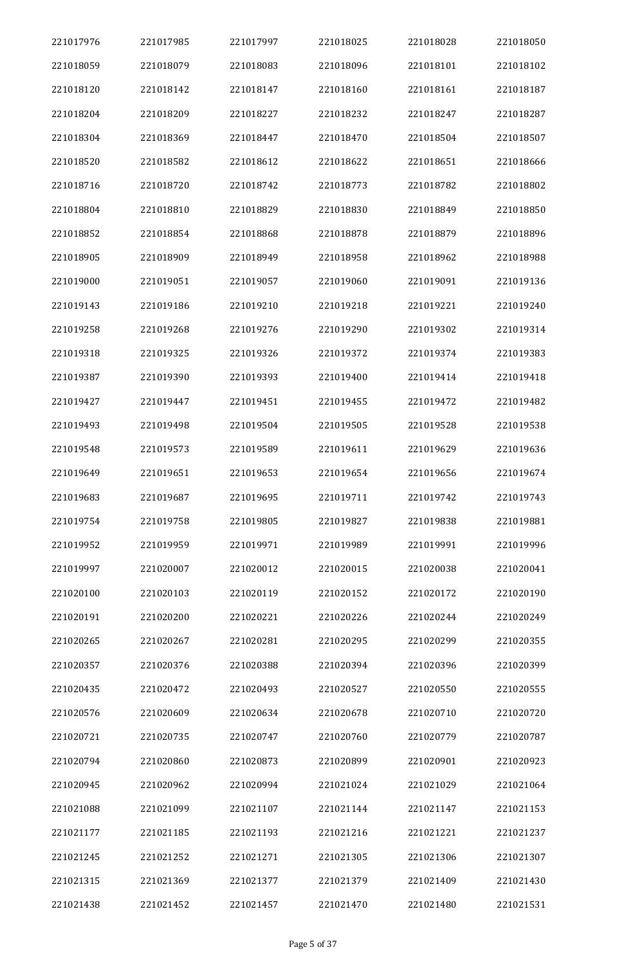| 221017976 | 221017985 | 221017997 | 221018025 | 221018028 | 221018050 |
|-----------|-----------|-----------|-----------|-----------|-----------|
| 221018059 | 221018079 | 221018083 | 221018096 | 221018101 | 221018102 |
| 221018120 | 221018142 | 221018147 | 221018160 | 221018161 | 221018187 |
| 221018204 | 221018209 | 221018227 | 221018232 | 221018247 | 221018287 |
| 221018304 | 221018369 | 221018447 | 221018470 | 221018504 | 221018507 |
| 221018520 | 221018582 | 221018612 | 221018622 | 221018651 | 221018666 |
| 221018716 | 221018720 | 221018742 | 221018773 | 221018782 | 221018802 |
| 221018804 | 221018810 | 221018829 | 221018830 | 221018849 | 221018850 |
| 221018852 | 221018854 | 221018868 | 221018878 | 221018879 | 221018896 |
| 221018905 | 221018909 | 221018949 | 221018958 | 221018962 | 221018988 |
| 221019000 | 221019051 | 221019057 | 221019060 | 221019091 | 221019136 |
| 221019143 | 221019186 | 221019210 | 221019218 | 221019221 | 221019240 |
| 221019258 | 221019268 | 221019276 | 221019290 | 221019302 | 221019314 |
| 221019318 | 221019325 | 221019326 | 221019372 | 221019374 | 221019383 |
| 221019387 | 221019390 | 221019393 | 221019400 | 221019414 | 221019418 |
| 221019427 | 221019447 | 221019451 | 221019455 | 221019472 | 221019482 |
| 221019493 | 221019498 | 221019504 | 221019505 | 221019528 | 221019538 |
| 221019548 | 221019573 | 221019589 | 221019611 | 221019629 | 221019636 |
| 221019649 | 221019651 | 221019653 | 221019654 | 221019656 | 221019674 |
| 221019683 | 221019687 | 221019695 | 221019711 | 221019742 | 221019743 |
| 221019754 | 221019758 | 221019805 | 221019827 | 221019838 | 221019881 |
| 221019952 | 221019959 | 221019971 | 221019989 | 221019991 | 221019996 |
| 221019997 | 221020007 | 221020012 | 221020015 | 221020038 | 221020041 |
| 221020100 | 221020103 | 221020119 | 221020152 | 221020172 | 221020190 |
| 221020191 | 221020200 | 221020221 | 221020226 | 221020244 | 221020249 |
| 221020265 | 221020267 | 221020281 | 221020295 | 221020299 | 221020355 |
| 221020357 | 221020376 | 221020388 | 221020394 | 221020396 | 221020399 |
| 221020435 | 221020472 | 221020493 | 221020527 | 221020550 | 221020555 |
| 221020576 | 221020609 | 221020634 | 221020678 | 221020710 | 221020720 |
| 221020721 | 221020735 | 221020747 | 221020760 | 221020779 | 221020787 |
| 221020794 | 221020860 | 221020873 | 221020899 | 221020901 | 221020923 |
| 221020945 | 221020962 | 221020994 | 221021024 | 221021029 | 221021064 |
| 221021088 | 221021099 | 221021107 | 221021144 | 221021147 | 221021153 |
| 221021177 | 221021185 | 221021193 | 221021216 | 221021221 | 221021237 |
| 221021245 | 221021252 | 221021271 | 221021305 | 221021306 | 221021307 |
| 221021315 | 221021369 | 221021377 | 221021379 | 221021409 | 221021430 |
| 221021438 | 221021452 | 221021457 | 221021470 | 221021480 | 221021531 |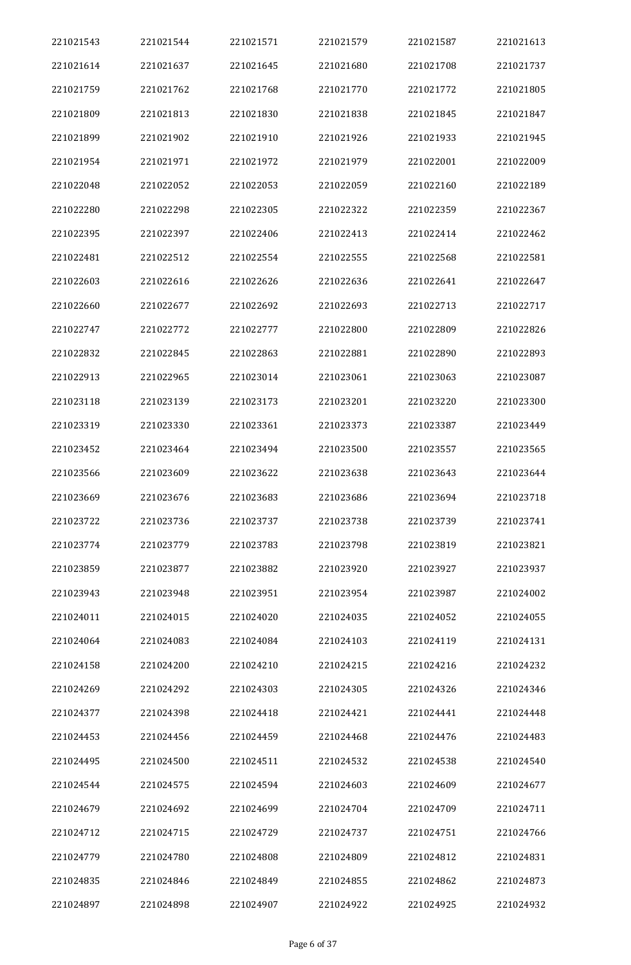| 221021543 | 221021544 | 221021571 | 221021579 | 221021587 | 221021613 |
|-----------|-----------|-----------|-----------|-----------|-----------|
| 221021614 | 221021637 | 221021645 | 221021680 | 221021708 | 221021737 |
| 221021759 | 221021762 | 221021768 | 221021770 | 221021772 | 221021805 |
| 221021809 | 221021813 | 221021830 | 221021838 | 221021845 | 221021847 |
| 221021899 | 221021902 | 221021910 | 221021926 | 221021933 | 221021945 |
| 221021954 | 221021971 | 221021972 | 221021979 | 221022001 | 221022009 |
| 221022048 | 221022052 | 221022053 | 221022059 | 221022160 | 221022189 |
| 221022280 | 221022298 | 221022305 | 221022322 | 221022359 | 221022367 |
| 221022395 | 221022397 | 221022406 | 221022413 | 221022414 | 221022462 |
| 221022481 | 221022512 | 221022554 | 221022555 | 221022568 | 221022581 |
| 221022603 | 221022616 | 221022626 | 221022636 | 221022641 | 221022647 |
| 221022660 | 221022677 | 221022692 | 221022693 | 221022713 | 221022717 |
| 221022747 | 221022772 | 221022777 | 221022800 | 221022809 | 221022826 |
| 221022832 | 221022845 | 221022863 | 221022881 | 221022890 | 221022893 |
| 221022913 | 221022965 | 221023014 | 221023061 | 221023063 | 221023087 |
| 221023118 | 221023139 | 221023173 | 221023201 | 221023220 | 221023300 |
| 221023319 | 221023330 | 221023361 | 221023373 | 221023387 | 221023449 |
| 221023452 | 221023464 | 221023494 | 221023500 | 221023557 | 221023565 |
| 221023566 | 221023609 | 221023622 | 221023638 | 221023643 | 221023644 |
| 221023669 | 221023676 | 221023683 | 221023686 | 221023694 | 221023718 |
| 221023722 | 221023736 | 221023737 | 221023738 | 221023739 | 221023741 |
| 221023774 | 221023779 | 221023783 | 221023798 | 221023819 | 221023821 |
| 221023859 | 221023877 | 221023882 | 221023920 | 221023927 | 221023937 |
| 221023943 | 221023948 | 221023951 | 221023954 | 221023987 | 221024002 |
| 221024011 | 221024015 | 221024020 | 221024035 | 221024052 | 221024055 |
| 221024064 | 221024083 | 221024084 | 221024103 | 221024119 | 221024131 |
| 221024158 | 221024200 | 221024210 | 221024215 | 221024216 | 221024232 |
| 221024269 | 221024292 | 221024303 | 221024305 | 221024326 | 221024346 |
| 221024377 | 221024398 | 221024418 | 221024421 | 221024441 | 221024448 |
| 221024453 | 221024456 | 221024459 | 221024468 | 221024476 | 221024483 |
| 221024495 | 221024500 | 221024511 | 221024532 | 221024538 | 221024540 |
| 221024544 | 221024575 | 221024594 | 221024603 | 221024609 | 221024677 |
| 221024679 | 221024692 | 221024699 | 221024704 | 221024709 | 221024711 |
| 221024712 | 221024715 | 221024729 | 221024737 | 221024751 | 221024766 |
| 221024779 | 221024780 | 221024808 | 221024809 | 221024812 | 221024831 |
| 221024835 | 221024846 | 221024849 | 221024855 | 221024862 | 221024873 |
| 221024897 | 221024898 | 221024907 | 221024922 | 221024925 | 221024932 |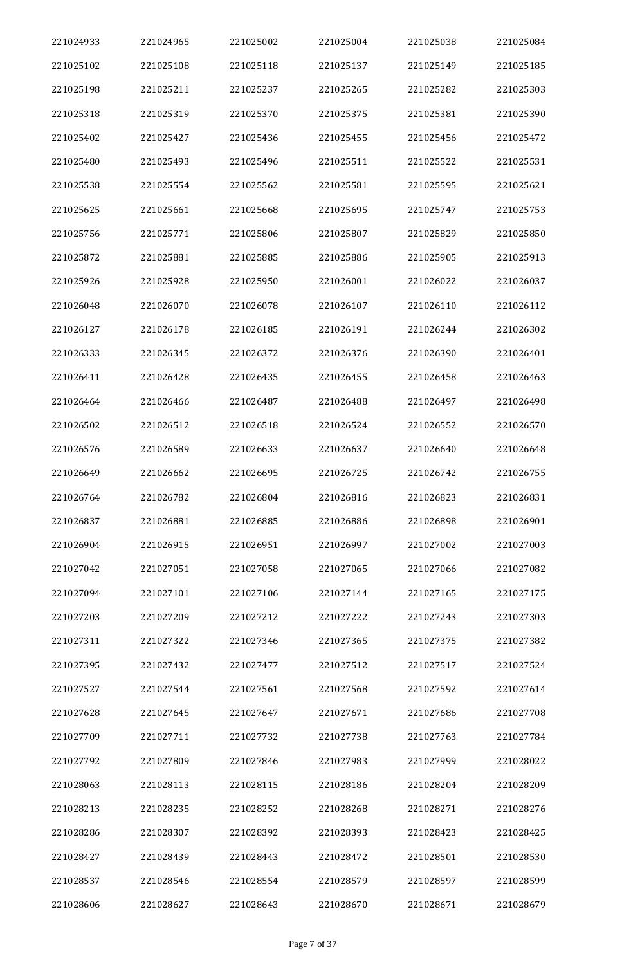| 221024933 | 221024965 | 221025002 | 221025004 | 221025038 | 221025084 |
|-----------|-----------|-----------|-----------|-----------|-----------|
| 221025102 | 221025108 | 221025118 | 221025137 | 221025149 | 221025185 |
| 221025198 | 221025211 | 221025237 | 221025265 | 221025282 | 221025303 |
| 221025318 | 221025319 | 221025370 | 221025375 | 221025381 | 221025390 |
| 221025402 | 221025427 | 221025436 | 221025455 | 221025456 | 221025472 |
| 221025480 | 221025493 | 221025496 | 221025511 | 221025522 | 221025531 |
| 221025538 | 221025554 | 221025562 | 221025581 | 221025595 | 221025621 |
| 221025625 | 221025661 | 221025668 | 221025695 | 221025747 | 221025753 |
| 221025756 | 221025771 | 221025806 | 221025807 | 221025829 | 221025850 |
| 221025872 | 221025881 | 221025885 | 221025886 | 221025905 | 221025913 |
| 221025926 | 221025928 | 221025950 | 221026001 | 221026022 | 221026037 |
| 221026048 | 221026070 | 221026078 | 221026107 | 221026110 | 221026112 |
| 221026127 | 221026178 | 221026185 | 221026191 | 221026244 | 221026302 |
| 221026333 | 221026345 | 221026372 | 221026376 | 221026390 | 221026401 |
| 221026411 | 221026428 | 221026435 | 221026455 | 221026458 | 221026463 |
| 221026464 | 221026466 | 221026487 | 221026488 | 221026497 | 221026498 |
| 221026502 | 221026512 | 221026518 | 221026524 | 221026552 | 221026570 |
| 221026576 | 221026589 | 221026633 | 221026637 | 221026640 | 221026648 |
| 221026649 | 221026662 | 221026695 | 221026725 | 221026742 | 221026755 |
| 221026764 | 221026782 | 221026804 | 221026816 | 221026823 | 221026831 |
| 221026837 | 221026881 | 221026885 | 221026886 | 221026898 | 221026901 |
| 221026904 | 221026915 | 221026951 | 221026997 | 221027002 | 221027003 |
| 221027042 | 221027051 | 221027058 | 221027065 | 221027066 | 221027082 |
| 221027094 | 221027101 | 221027106 | 221027144 | 221027165 | 221027175 |
| 221027203 | 221027209 | 221027212 | 221027222 | 221027243 | 221027303 |
| 221027311 | 221027322 | 221027346 | 221027365 | 221027375 | 221027382 |
| 221027395 | 221027432 | 221027477 | 221027512 | 221027517 | 221027524 |
| 221027527 | 221027544 | 221027561 | 221027568 | 221027592 | 221027614 |
| 221027628 | 221027645 | 221027647 | 221027671 | 221027686 | 221027708 |
| 221027709 | 221027711 | 221027732 | 221027738 | 221027763 | 221027784 |
| 221027792 | 221027809 | 221027846 | 221027983 | 221027999 | 221028022 |
| 221028063 | 221028113 | 221028115 | 221028186 | 221028204 | 221028209 |
| 221028213 | 221028235 | 221028252 | 221028268 | 221028271 | 221028276 |
| 221028286 | 221028307 | 221028392 | 221028393 | 221028423 | 221028425 |
| 221028427 | 221028439 | 221028443 | 221028472 | 221028501 | 221028530 |
| 221028537 | 221028546 | 221028554 | 221028579 | 221028597 | 221028599 |
| 221028606 | 221028627 | 221028643 | 221028670 | 221028671 | 221028679 |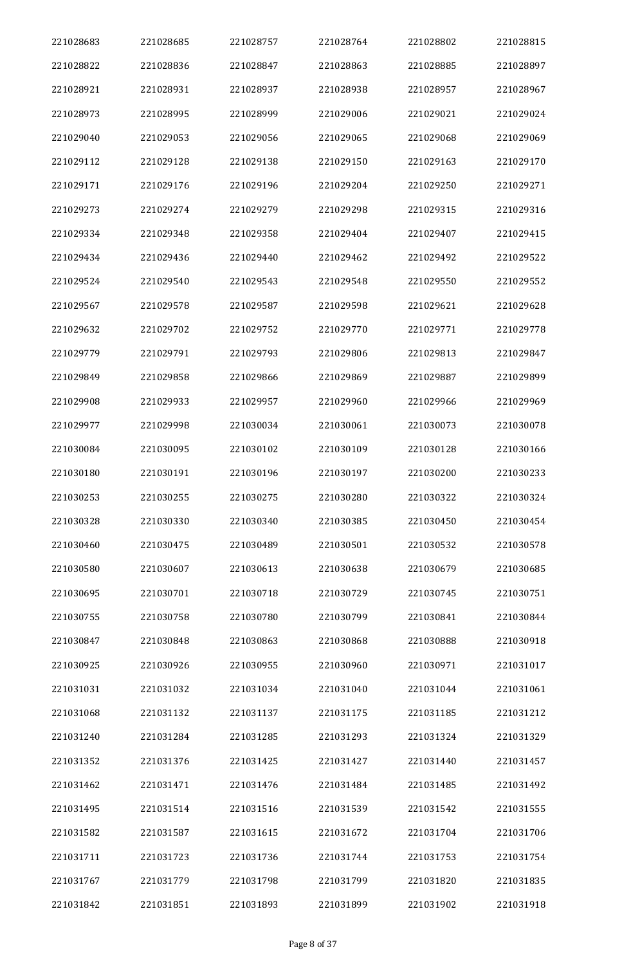| 221028683 | 221028685 | 221028757 | 221028764 | 221028802 | 221028815 |
|-----------|-----------|-----------|-----------|-----------|-----------|
| 221028822 | 221028836 | 221028847 | 221028863 | 221028885 | 221028897 |
| 221028921 | 221028931 | 221028937 | 221028938 | 221028957 | 221028967 |
| 221028973 | 221028995 | 221028999 | 221029006 | 221029021 | 221029024 |
| 221029040 | 221029053 | 221029056 | 221029065 | 221029068 | 221029069 |
| 221029112 | 221029128 | 221029138 | 221029150 | 221029163 | 221029170 |
| 221029171 | 221029176 | 221029196 | 221029204 | 221029250 | 221029271 |
| 221029273 | 221029274 | 221029279 | 221029298 | 221029315 | 221029316 |
| 221029334 | 221029348 | 221029358 | 221029404 | 221029407 | 221029415 |
| 221029434 | 221029436 | 221029440 | 221029462 | 221029492 | 221029522 |
| 221029524 | 221029540 | 221029543 | 221029548 | 221029550 | 221029552 |
| 221029567 | 221029578 | 221029587 | 221029598 | 221029621 | 221029628 |
| 221029632 | 221029702 | 221029752 | 221029770 | 221029771 | 221029778 |
| 221029779 | 221029791 | 221029793 | 221029806 | 221029813 | 221029847 |
| 221029849 | 221029858 | 221029866 | 221029869 | 221029887 | 221029899 |
| 221029908 | 221029933 | 221029957 | 221029960 | 221029966 | 221029969 |
| 221029977 | 221029998 | 221030034 | 221030061 | 221030073 | 221030078 |
| 221030084 | 221030095 | 221030102 | 221030109 | 221030128 | 221030166 |
| 221030180 | 221030191 | 221030196 | 221030197 | 221030200 | 221030233 |
| 221030253 | 221030255 | 221030275 | 221030280 | 221030322 | 221030324 |
| 221030328 | 221030330 | 221030340 | 221030385 | 221030450 | 221030454 |
| 221030460 | 221030475 | 221030489 | 221030501 | 221030532 | 221030578 |
| 221030580 | 221030607 | 221030613 | 221030638 | 221030679 | 221030685 |
| 221030695 | 221030701 | 221030718 | 221030729 | 221030745 | 221030751 |
| 221030755 | 221030758 | 221030780 | 221030799 | 221030841 | 221030844 |
| 221030847 | 221030848 | 221030863 | 221030868 | 221030888 | 221030918 |
| 221030925 | 221030926 | 221030955 | 221030960 | 221030971 | 221031017 |
| 221031031 | 221031032 | 221031034 | 221031040 | 221031044 | 221031061 |
| 221031068 | 221031132 | 221031137 | 221031175 | 221031185 | 221031212 |
| 221031240 | 221031284 | 221031285 | 221031293 | 221031324 | 221031329 |
| 221031352 | 221031376 | 221031425 | 221031427 | 221031440 | 221031457 |
| 221031462 | 221031471 | 221031476 | 221031484 | 221031485 | 221031492 |
| 221031495 | 221031514 | 221031516 | 221031539 | 221031542 | 221031555 |
| 221031582 | 221031587 | 221031615 | 221031672 | 221031704 | 221031706 |
| 221031711 | 221031723 | 221031736 | 221031744 | 221031753 | 221031754 |
| 221031767 | 221031779 | 221031798 | 221031799 | 221031820 | 221031835 |
| 221031842 | 221031851 | 221031893 | 221031899 | 221031902 | 221031918 |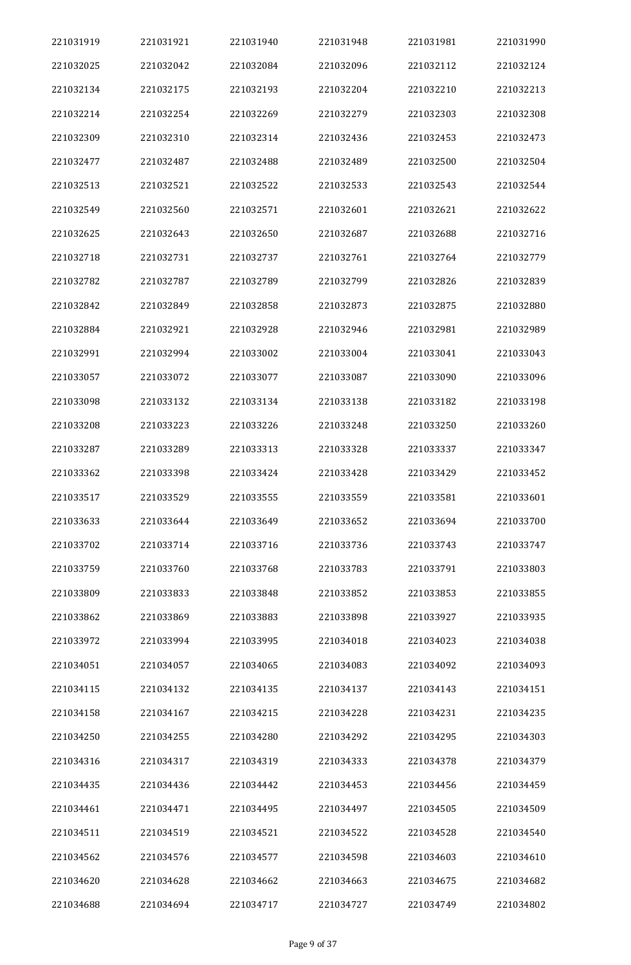| 221031919 | 221031921 | 221031940 | 221031948 | 221031981 | 221031990 |
|-----------|-----------|-----------|-----------|-----------|-----------|
| 221032025 | 221032042 | 221032084 | 221032096 | 221032112 | 221032124 |
| 221032134 | 221032175 | 221032193 | 221032204 | 221032210 | 221032213 |
| 221032214 | 221032254 | 221032269 | 221032279 | 221032303 | 221032308 |
| 221032309 | 221032310 | 221032314 | 221032436 | 221032453 | 221032473 |
| 221032477 | 221032487 | 221032488 | 221032489 | 221032500 | 221032504 |
| 221032513 | 221032521 | 221032522 | 221032533 | 221032543 | 221032544 |
| 221032549 | 221032560 | 221032571 | 221032601 | 221032621 | 221032622 |
| 221032625 | 221032643 | 221032650 | 221032687 | 221032688 | 221032716 |
| 221032718 | 221032731 | 221032737 | 221032761 | 221032764 | 221032779 |
| 221032782 | 221032787 | 221032789 | 221032799 | 221032826 | 221032839 |
| 221032842 | 221032849 | 221032858 | 221032873 | 221032875 | 221032880 |
| 221032884 | 221032921 | 221032928 | 221032946 | 221032981 | 221032989 |
| 221032991 | 221032994 | 221033002 | 221033004 | 221033041 | 221033043 |
| 221033057 | 221033072 | 221033077 | 221033087 | 221033090 | 221033096 |
| 221033098 | 221033132 | 221033134 | 221033138 | 221033182 | 221033198 |
| 221033208 | 221033223 | 221033226 | 221033248 | 221033250 | 221033260 |
| 221033287 | 221033289 | 221033313 | 221033328 | 221033337 | 221033347 |
| 221033362 | 221033398 | 221033424 | 221033428 | 221033429 | 221033452 |
| 221033517 | 221033529 | 221033555 | 221033559 | 221033581 | 221033601 |
| 221033633 | 221033644 | 221033649 | 221033652 | 221033694 | 221033700 |
| 221033702 | 221033714 | 221033716 | 221033736 | 221033743 | 221033747 |
| 221033759 | 221033760 | 221033768 | 221033783 | 221033791 | 221033803 |
| 221033809 | 221033833 | 221033848 | 221033852 | 221033853 | 221033855 |
| 221033862 | 221033869 | 221033883 | 221033898 | 221033927 | 221033935 |
| 221033972 | 221033994 | 221033995 | 221034018 | 221034023 | 221034038 |
| 221034051 | 221034057 | 221034065 | 221034083 | 221034092 | 221034093 |
| 221034115 | 221034132 | 221034135 | 221034137 | 221034143 | 221034151 |
| 221034158 | 221034167 | 221034215 | 221034228 | 221034231 | 221034235 |
| 221034250 | 221034255 | 221034280 | 221034292 | 221034295 | 221034303 |
| 221034316 | 221034317 | 221034319 | 221034333 | 221034378 | 221034379 |
| 221034435 | 221034436 | 221034442 | 221034453 | 221034456 | 221034459 |
| 221034461 | 221034471 | 221034495 | 221034497 | 221034505 | 221034509 |
| 221034511 | 221034519 | 221034521 | 221034522 | 221034528 | 221034540 |
| 221034562 | 221034576 | 221034577 | 221034598 | 221034603 | 221034610 |
| 221034620 | 221034628 | 221034662 | 221034663 | 221034675 | 221034682 |
| 221034688 | 221034694 | 221034717 | 221034727 | 221034749 | 221034802 |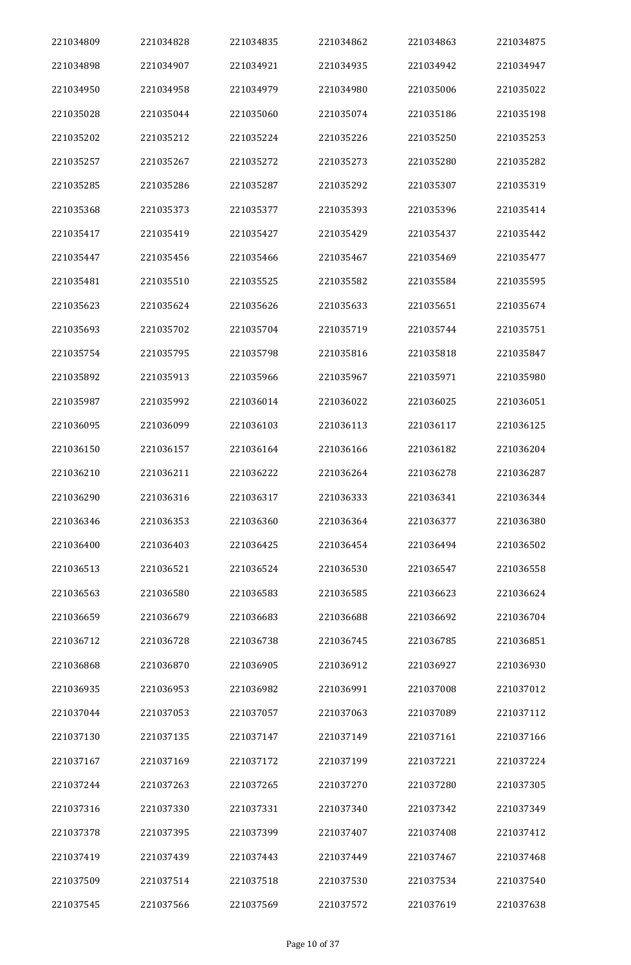| 221034809 | 221034828 | 221034835 | 221034862 | 221034863 | 221034875 |
|-----------|-----------|-----------|-----------|-----------|-----------|
| 221034898 | 221034907 | 221034921 | 221034935 | 221034942 | 221034947 |
| 221034950 | 221034958 | 221034979 | 221034980 | 221035006 | 221035022 |
| 221035028 | 221035044 | 221035060 | 221035074 | 221035186 | 221035198 |
| 221035202 | 221035212 | 221035224 | 221035226 | 221035250 | 221035253 |
| 221035257 | 221035267 | 221035272 | 221035273 | 221035280 | 221035282 |
| 221035285 | 221035286 | 221035287 | 221035292 | 221035307 | 221035319 |
| 221035368 | 221035373 | 221035377 | 221035393 | 221035396 | 221035414 |
| 221035417 | 221035419 | 221035427 | 221035429 | 221035437 | 221035442 |
| 221035447 | 221035456 | 221035466 | 221035467 | 221035469 | 221035477 |
| 221035481 | 221035510 | 221035525 | 221035582 | 221035584 | 221035595 |
| 221035623 | 221035624 | 221035626 | 221035633 | 221035651 | 221035674 |
| 221035693 | 221035702 | 221035704 | 221035719 | 221035744 | 221035751 |
| 221035754 | 221035795 | 221035798 | 221035816 | 221035818 | 221035847 |
| 221035892 | 221035913 | 221035966 | 221035967 | 221035971 | 221035980 |
| 221035987 | 221035992 | 221036014 | 221036022 | 221036025 | 221036051 |
| 221036095 | 221036099 | 221036103 | 221036113 | 221036117 | 221036125 |
| 221036150 | 221036157 | 221036164 | 221036166 | 221036182 | 221036204 |
| 221036210 | 221036211 | 221036222 | 221036264 | 221036278 | 221036287 |
| 221036290 | 221036316 | 221036317 | 221036333 | 221036341 | 221036344 |
| 221036346 | 221036353 | 221036360 | 221036364 | 221036377 | 221036380 |
| 221036400 | 221036403 | 221036425 | 221036454 | 221036494 | 221036502 |
| 221036513 | 221036521 | 221036524 | 221036530 | 221036547 | 221036558 |
| 221036563 | 221036580 | 221036583 | 221036585 | 221036623 | 221036624 |
| 221036659 | 221036679 | 221036683 | 221036688 | 221036692 | 221036704 |
| 221036712 | 221036728 | 221036738 | 221036745 | 221036785 | 221036851 |
| 221036868 | 221036870 | 221036905 | 221036912 | 221036927 | 221036930 |
| 221036935 | 221036953 | 221036982 | 221036991 | 221037008 | 221037012 |
| 221037044 | 221037053 | 221037057 | 221037063 | 221037089 | 221037112 |
| 221037130 | 221037135 | 221037147 | 221037149 | 221037161 | 221037166 |
| 221037167 | 221037169 | 221037172 | 221037199 | 221037221 | 221037224 |
| 221037244 | 221037263 | 221037265 | 221037270 | 221037280 | 221037305 |
| 221037316 | 221037330 | 221037331 | 221037340 | 221037342 | 221037349 |
| 221037378 | 221037395 | 221037399 | 221037407 | 221037408 | 221037412 |
| 221037419 | 221037439 | 221037443 | 221037449 | 221037467 | 221037468 |
| 221037509 | 221037514 | 221037518 | 221037530 | 221037534 | 221037540 |
| 221037545 | 221037566 | 221037569 | 221037572 | 221037619 | 221037638 |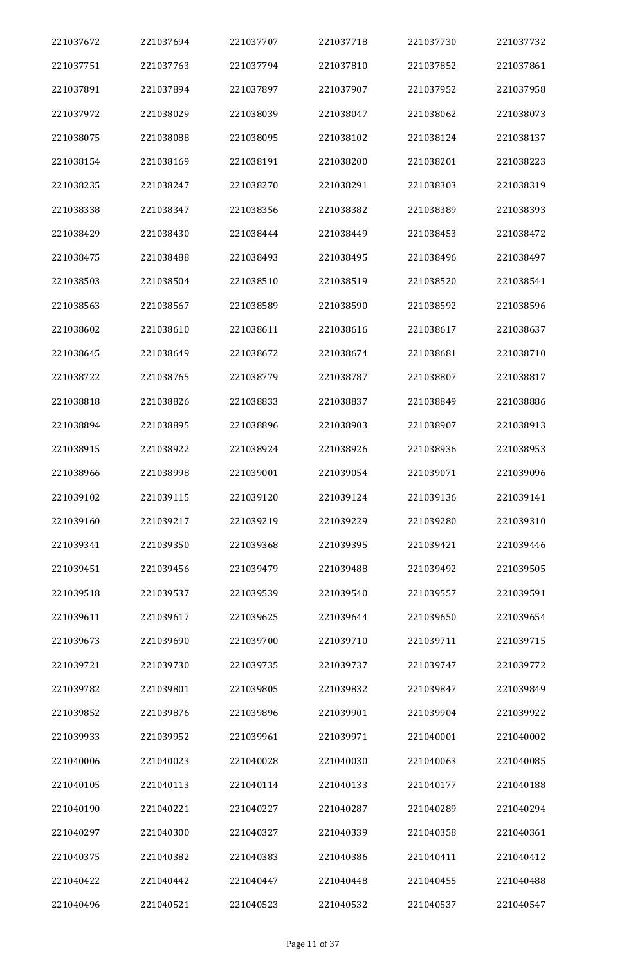| 221037672 | 221037694 | 221037707 | 221037718 | 221037730 | 221037732 |
|-----------|-----------|-----------|-----------|-----------|-----------|
| 221037751 | 221037763 | 221037794 | 221037810 | 221037852 | 221037861 |
| 221037891 | 221037894 | 221037897 | 221037907 | 221037952 | 221037958 |
| 221037972 | 221038029 | 221038039 | 221038047 | 221038062 | 221038073 |
| 221038075 | 221038088 | 221038095 | 221038102 | 221038124 | 221038137 |
| 221038154 | 221038169 | 221038191 | 221038200 | 221038201 | 221038223 |
| 221038235 | 221038247 | 221038270 | 221038291 | 221038303 | 221038319 |
| 221038338 | 221038347 | 221038356 | 221038382 | 221038389 | 221038393 |
| 221038429 | 221038430 | 221038444 | 221038449 | 221038453 | 221038472 |
| 221038475 | 221038488 | 221038493 | 221038495 | 221038496 | 221038497 |
| 221038503 | 221038504 | 221038510 | 221038519 | 221038520 | 221038541 |
| 221038563 | 221038567 | 221038589 | 221038590 | 221038592 | 221038596 |
| 221038602 | 221038610 | 221038611 | 221038616 | 221038617 | 221038637 |
| 221038645 | 221038649 | 221038672 | 221038674 | 221038681 | 221038710 |
| 221038722 | 221038765 | 221038779 | 221038787 | 221038807 | 221038817 |
| 221038818 | 221038826 | 221038833 | 221038837 | 221038849 | 221038886 |
| 221038894 | 221038895 | 221038896 | 221038903 | 221038907 | 221038913 |
| 221038915 | 221038922 | 221038924 | 221038926 | 221038936 | 221038953 |
| 221038966 | 221038998 | 221039001 | 221039054 | 221039071 | 221039096 |
| 221039102 | 221039115 | 221039120 | 221039124 | 221039136 | 221039141 |
| 221039160 | 221039217 | 221039219 | 221039229 | 221039280 | 221039310 |
| 221039341 | 221039350 | 221039368 | 221039395 | 221039421 | 221039446 |
| 221039451 | 221039456 | 221039479 | 221039488 | 221039492 | 221039505 |
| 221039518 | 221039537 | 221039539 | 221039540 | 221039557 | 221039591 |
| 221039611 | 221039617 | 221039625 | 221039644 | 221039650 | 221039654 |
| 221039673 | 221039690 | 221039700 | 221039710 | 221039711 | 221039715 |
| 221039721 | 221039730 | 221039735 | 221039737 | 221039747 | 221039772 |
| 221039782 | 221039801 | 221039805 | 221039832 | 221039847 | 221039849 |
| 221039852 | 221039876 | 221039896 | 221039901 | 221039904 | 221039922 |
| 221039933 | 221039952 | 221039961 | 221039971 | 221040001 | 221040002 |
| 221040006 | 221040023 | 221040028 | 221040030 | 221040063 | 221040085 |
| 221040105 | 221040113 | 221040114 | 221040133 | 221040177 | 221040188 |
| 221040190 | 221040221 | 221040227 | 221040287 | 221040289 | 221040294 |
| 221040297 | 221040300 | 221040327 | 221040339 | 221040358 | 221040361 |
| 221040375 | 221040382 | 221040383 | 221040386 | 221040411 | 221040412 |
| 221040422 | 221040442 | 221040447 | 221040448 | 221040455 | 221040488 |
| 221040496 | 221040521 | 221040523 | 221040532 | 221040537 | 221040547 |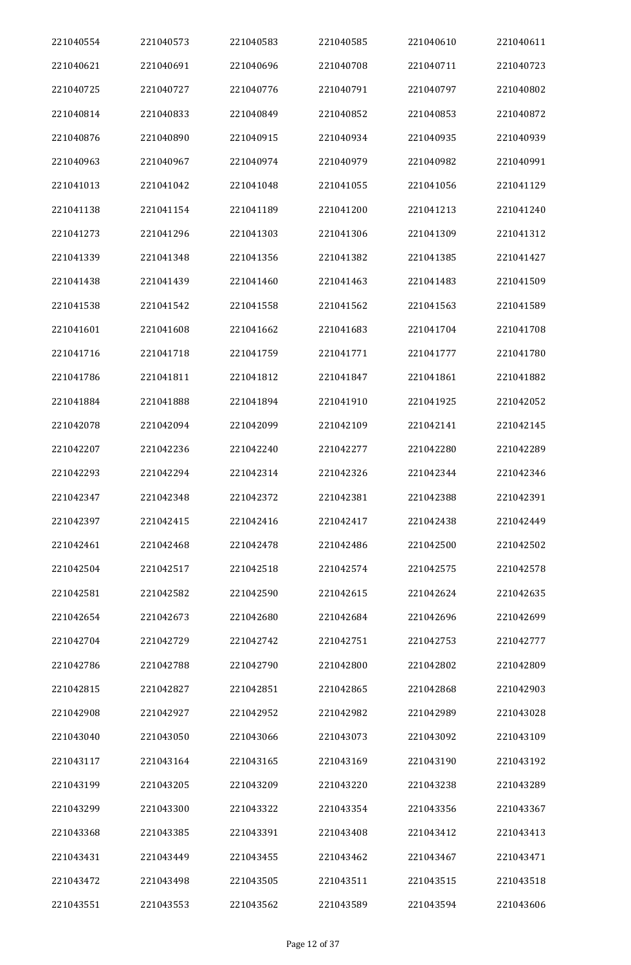| 221040554 | 221040573 | 221040583 | 221040585 | 221040610 | 221040611 |
|-----------|-----------|-----------|-----------|-----------|-----------|
| 221040621 | 221040691 | 221040696 | 221040708 | 221040711 | 221040723 |
| 221040725 | 221040727 | 221040776 | 221040791 | 221040797 | 221040802 |
| 221040814 | 221040833 | 221040849 | 221040852 | 221040853 | 221040872 |
| 221040876 | 221040890 | 221040915 | 221040934 | 221040935 | 221040939 |
| 221040963 | 221040967 | 221040974 | 221040979 | 221040982 | 221040991 |
| 221041013 | 221041042 | 221041048 | 221041055 | 221041056 | 221041129 |
| 221041138 | 221041154 | 221041189 | 221041200 | 221041213 | 221041240 |
| 221041273 | 221041296 | 221041303 | 221041306 | 221041309 | 221041312 |
| 221041339 | 221041348 | 221041356 | 221041382 | 221041385 | 221041427 |
| 221041438 | 221041439 | 221041460 | 221041463 | 221041483 | 221041509 |
| 221041538 | 221041542 | 221041558 | 221041562 | 221041563 | 221041589 |
| 221041601 | 221041608 | 221041662 | 221041683 | 221041704 | 221041708 |
| 221041716 | 221041718 | 221041759 | 221041771 | 221041777 | 221041780 |
| 221041786 | 221041811 | 221041812 | 221041847 | 221041861 | 221041882 |
| 221041884 | 221041888 | 221041894 | 221041910 | 221041925 | 221042052 |
| 221042078 | 221042094 | 221042099 | 221042109 | 221042141 | 221042145 |
| 221042207 | 221042236 | 221042240 | 221042277 | 221042280 | 221042289 |
| 221042293 | 221042294 | 221042314 | 221042326 | 221042344 | 221042346 |
| 221042347 | 221042348 | 221042372 | 221042381 | 221042388 | 221042391 |
| 221042397 | 221042415 | 221042416 | 221042417 | 221042438 | 221042449 |
| 221042461 | 221042468 | 221042478 | 221042486 | 221042500 | 221042502 |
| 221042504 | 221042517 | 221042518 | 221042574 | 221042575 | 221042578 |
| 221042581 | 221042582 | 221042590 | 221042615 | 221042624 | 221042635 |
| 221042654 | 221042673 | 221042680 | 221042684 | 221042696 | 221042699 |
| 221042704 | 221042729 | 221042742 | 221042751 | 221042753 | 221042777 |
| 221042786 | 221042788 | 221042790 | 221042800 | 221042802 | 221042809 |
| 221042815 | 221042827 | 221042851 | 221042865 | 221042868 | 221042903 |
| 221042908 | 221042927 | 221042952 | 221042982 | 221042989 | 221043028 |
| 221043040 | 221043050 | 221043066 | 221043073 | 221043092 | 221043109 |
| 221043117 | 221043164 | 221043165 | 221043169 | 221043190 | 221043192 |
| 221043199 | 221043205 | 221043209 | 221043220 | 221043238 | 221043289 |
| 221043299 | 221043300 | 221043322 | 221043354 | 221043356 | 221043367 |
| 221043368 | 221043385 | 221043391 | 221043408 | 221043412 | 221043413 |
| 221043431 | 221043449 | 221043455 | 221043462 | 221043467 | 221043471 |
| 221043472 | 221043498 | 221043505 | 221043511 | 221043515 | 221043518 |
| 221043551 | 221043553 | 221043562 | 221043589 | 221043594 | 221043606 |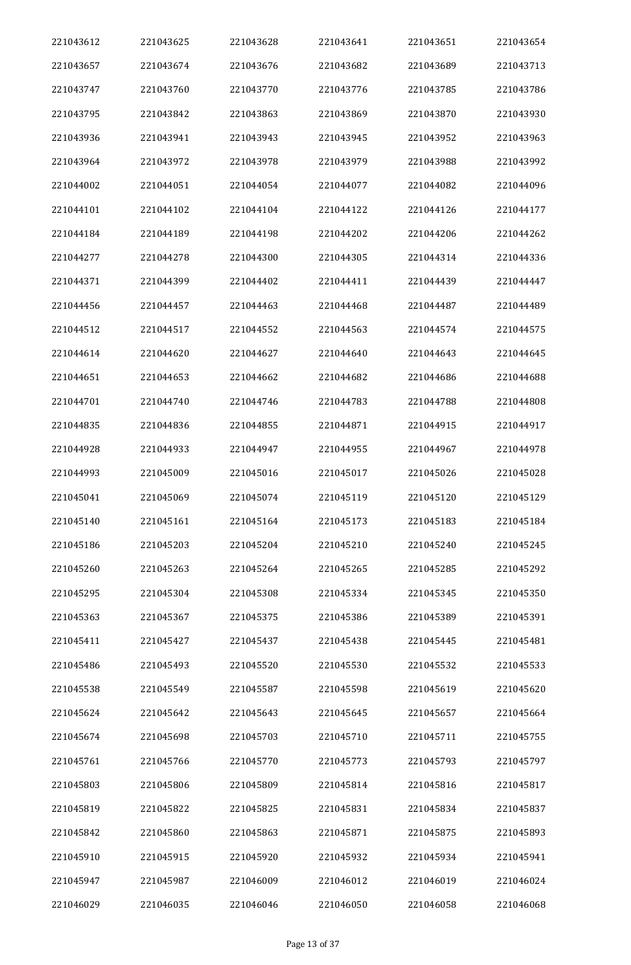| 221043612 | 221043625 | 221043628 | 221043641 | 221043651 | 221043654 |
|-----------|-----------|-----------|-----------|-----------|-----------|
| 221043657 | 221043674 | 221043676 | 221043682 | 221043689 | 221043713 |
| 221043747 | 221043760 | 221043770 | 221043776 | 221043785 | 221043786 |
| 221043795 | 221043842 | 221043863 | 221043869 | 221043870 | 221043930 |
| 221043936 | 221043941 | 221043943 | 221043945 | 221043952 | 221043963 |
| 221043964 | 221043972 | 221043978 | 221043979 | 221043988 | 221043992 |
| 221044002 | 221044051 | 221044054 | 221044077 | 221044082 | 221044096 |
| 221044101 | 221044102 | 221044104 | 221044122 | 221044126 | 221044177 |
| 221044184 | 221044189 | 221044198 | 221044202 | 221044206 | 221044262 |
| 221044277 | 221044278 | 221044300 | 221044305 | 221044314 | 221044336 |
| 221044371 | 221044399 | 221044402 | 221044411 | 221044439 | 221044447 |
| 221044456 | 221044457 | 221044463 | 221044468 | 221044487 | 221044489 |
| 221044512 | 221044517 | 221044552 | 221044563 | 221044574 | 221044575 |
| 221044614 | 221044620 | 221044627 | 221044640 | 221044643 | 221044645 |
| 221044651 | 221044653 | 221044662 | 221044682 | 221044686 | 221044688 |
| 221044701 | 221044740 | 221044746 | 221044783 | 221044788 | 221044808 |
| 221044835 | 221044836 | 221044855 | 221044871 | 221044915 | 221044917 |
| 221044928 | 221044933 | 221044947 | 221044955 | 221044967 | 221044978 |
| 221044993 | 221045009 | 221045016 | 221045017 | 221045026 | 221045028 |
| 221045041 | 221045069 | 221045074 | 221045119 | 221045120 | 221045129 |
| 221045140 | 221045161 | 221045164 | 221045173 | 221045183 | 221045184 |
| 221045186 | 221045203 | 221045204 | 221045210 | 221045240 | 221045245 |
| 221045260 | 221045263 | 221045264 | 221045265 | 221045285 | 221045292 |
| 221045295 | 221045304 | 221045308 | 221045334 | 221045345 | 221045350 |
| 221045363 | 221045367 | 221045375 | 221045386 | 221045389 | 221045391 |
| 221045411 | 221045427 | 221045437 | 221045438 | 221045445 | 221045481 |
| 221045486 | 221045493 | 221045520 | 221045530 | 221045532 | 221045533 |
| 221045538 | 221045549 | 221045587 | 221045598 | 221045619 | 221045620 |
| 221045624 | 221045642 | 221045643 | 221045645 | 221045657 | 221045664 |
| 221045674 | 221045698 | 221045703 | 221045710 | 221045711 | 221045755 |
| 221045761 | 221045766 | 221045770 | 221045773 | 221045793 | 221045797 |
| 221045803 | 221045806 | 221045809 | 221045814 | 221045816 | 221045817 |
| 221045819 | 221045822 | 221045825 | 221045831 | 221045834 | 221045837 |
| 221045842 | 221045860 | 221045863 | 221045871 | 221045875 | 221045893 |
| 221045910 | 221045915 | 221045920 | 221045932 | 221045934 | 221045941 |
| 221045947 | 221045987 | 221046009 | 221046012 | 221046019 | 221046024 |
| 221046029 | 221046035 | 221046046 | 221046050 | 221046058 | 221046068 |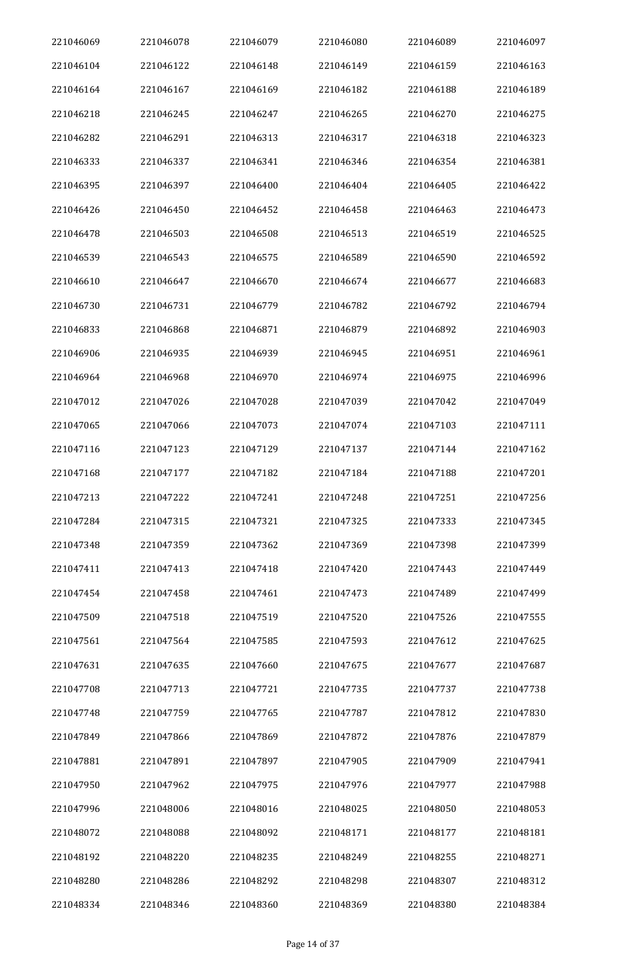| 221046069 | 221046078 | 221046079 | 221046080 | 221046089 | 221046097 |
|-----------|-----------|-----------|-----------|-----------|-----------|
| 221046104 | 221046122 | 221046148 | 221046149 | 221046159 | 221046163 |
| 221046164 | 221046167 | 221046169 | 221046182 | 221046188 | 221046189 |
| 221046218 | 221046245 | 221046247 | 221046265 | 221046270 | 221046275 |
| 221046282 | 221046291 | 221046313 | 221046317 | 221046318 | 221046323 |
| 221046333 | 221046337 | 221046341 | 221046346 | 221046354 | 221046381 |
| 221046395 | 221046397 | 221046400 | 221046404 | 221046405 | 221046422 |
| 221046426 | 221046450 | 221046452 | 221046458 | 221046463 | 221046473 |
| 221046478 | 221046503 | 221046508 | 221046513 | 221046519 | 221046525 |
| 221046539 | 221046543 | 221046575 | 221046589 | 221046590 | 221046592 |
| 221046610 | 221046647 | 221046670 | 221046674 | 221046677 | 221046683 |
| 221046730 | 221046731 | 221046779 | 221046782 | 221046792 | 221046794 |
| 221046833 | 221046868 | 221046871 | 221046879 | 221046892 | 221046903 |
| 221046906 | 221046935 | 221046939 | 221046945 | 221046951 | 221046961 |
| 221046964 | 221046968 | 221046970 | 221046974 | 221046975 | 221046996 |
| 221047012 | 221047026 | 221047028 | 221047039 | 221047042 | 221047049 |
| 221047065 | 221047066 | 221047073 | 221047074 | 221047103 | 221047111 |
| 221047116 | 221047123 | 221047129 | 221047137 | 221047144 | 221047162 |
| 221047168 | 221047177 | 221047182 | 221047184 | 221047188 | 221047201 |
| 221047213 | 221047222 | 221047241 | 221047248 | 221047251 | 221047256 |
| 221047284 | 221047315 | 221047321 | 221047325 | 221047333 | 221047345 |
| 221047348 | 221047359 | 221047362 | 221047369 | 221047398 | 221047399 |
| 221047411 | 221047413 | 221047418 | 221047420 | 221047443 | 221047449 |
| 221047454 | 221047458 | 221047461 | 221047473 | 221047489 | 221047499 |
| 221047509 | 221047518 | 221047519 | 221047520 | 221047526 | 221047555 |
| 221047561 | 221047564 | 221047585 | 221047593 | 221047612 | 221047625 |
| 221047631 | 221047635 | 221047660 | 221047675 | 221047677 | 221047687 |
| 221047708 | 221047713 | 221047721 | 221047735 | 221047737 | 221047738 |
| 221047748 | 221047759 | 221047765 | 221047787 | 221047812 | 221047830 |
| 221047849 | 221047866 | 221047869 | 221047872 | 221047876 | 221047879 |
| 221047881 | 221047891 | 221047897 | 221047905 | 221047909 | 221047941 |
| 221047950 | 221047962 | 221047975 | 221047976 | 221047977 | 221047988 |
| 221047996 | 221048006 | 221048016 | 221048025 | 221048050 | 221048053 |
| 221048072 | 221048088 | 221048092 | 221048171 | 221048177 | 221048181 |
| 221048192 | 221048220 | 221048235 | 221048249 | 221048255 | 221048271 |
| 221048280 | 221048286 | 221048292 | 221048298 | 221048307 | 221048312 |
| 221048334 | 221048346 | 221048360 | 221048369 | 221048380 | 221048384 |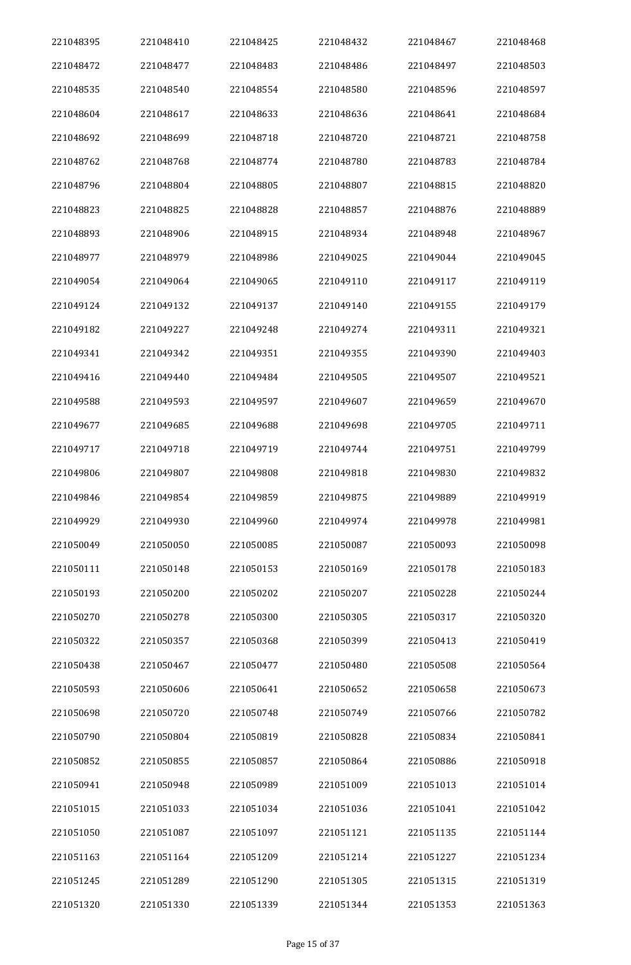| 221048395 | 221048410 | 221048425 | 221048432 | 221048467 | 221048468 |
|-----------|-----------|-----------|-----------|-----------|-----------|
| 221048472 | 221048477 | 221048483 | 221048486 | 221048497 | 221048503 |
| 221048535 | 221048540 | 221048554 | 221048580 | 221048596 | 221048597 |
| 221048604 | 221048617 | 221048633 | 221048636 | 221048641 | 221048684 |
| 221048692 | 221048699 | 221048718 | 221048720 | 221048721 | 221048758 |
| 221048762 | 221048768 | 221048774 | 221048780 | 221048783 | 221048784 |
| 221048796 | 221048804 | 221048805 | 221048807 | 221048815 | 221048820 |
| 221048823 | 221048825 | 221048828 | 221048857 | 221048876 | 221048889 |
| 221048893 | 221048906 | 221048915 | 221048934 | 221048948 | 221048967 |
| 221048977 | 221048979 | 221048986 | 221049025 | 221049044 | 221049045 |
| 221049054 | 221049064 | 221049065 | 221049110 | 221049117 | 221049119 |
| 221049124 | 221049132 | 221049137 | 221049140 | 221049155 | 221049179 |
| 221049182 | 221049227 | 221049248 | 221049274 | 221049311 | 221049321 |
| 221049341 | 221049342 | 221049351 | 221049355 | 221049390 | 221049403 |
| 221049416 | 221049440 | 221049484 | 221049505 | 221049507 | 221049521 |
| 221049588 | 221049593 | 221049597 | 221049607 | 221049659 | 221049670 |
| 221049677 | 221049685 | 221049688 | 221049698 | 221049705 | 221049711 |
| 221049717 | 221049718 | 221049719 | 221049744 | 221049751 | 221049799 |
| 221049806 | 221049807 | 221049808 | 221049818 | 221049830 | 221049832 |
| 221049846 | 221049854 | 221049859 | 221049875 | 221049889 | 221049919 |
| 221049929 | 221049930 | 221049960 | 221049974 | 221049978 | 221049981 |
| 221050049 | 221050050 | 221050085 | 221050087 | 221050093 | 221050098 |
| 221050111 | 221050148 | 221050153 | 221050169 | 221050178 | 221050183 |
| 221050193 | 221050200 | 221050202 | 221050207 | 221050228 | 221050244 |
| 221050270 | 221050278 | 221050300 | 221050305 | 221050317 | 221050320 |
| 221050322 | 221050357 | 221050368 | 221050399 | 221050413 | 221050419 |
| 221050438 | 221050467 | 221050477 | 221050480 | 221050508 | 221050564 |
| 221050593 | 221050606 | 221050641 | 221050652 | 221050658 | 221050673 |
| 221050698 | 221050720 | 221050748 | 221050749 | 221050766 | 221050782 |
| 221050790 | 221050804 | 221050819 | 221050828 | 221050834 | 221050841 |
| 221050852 | 221050855 | 221050857 | 221050864 | 221050886 | 221050918 |
| 221050941 | 221050948 | 221050989 | 221051009 | 221051013 | 221051014 |
| 221051015 | 221051033 | 221051034 | 221051036 | 221051041 | 221051042 |
| 221051050 | 221051087 | 221051097 | 221051121 | 221051135 | 221051144 |
| 221051163 | 221051164 | 221051209 | 221051214 | 221051227 | 221051234 |
| 221051245 | 221051289 | 221051290 | 221051305 | 221051315 | 221051319 |
| 221051320 | 221051330 | 221051339 | 221051344 | 221051353 | 221051363 |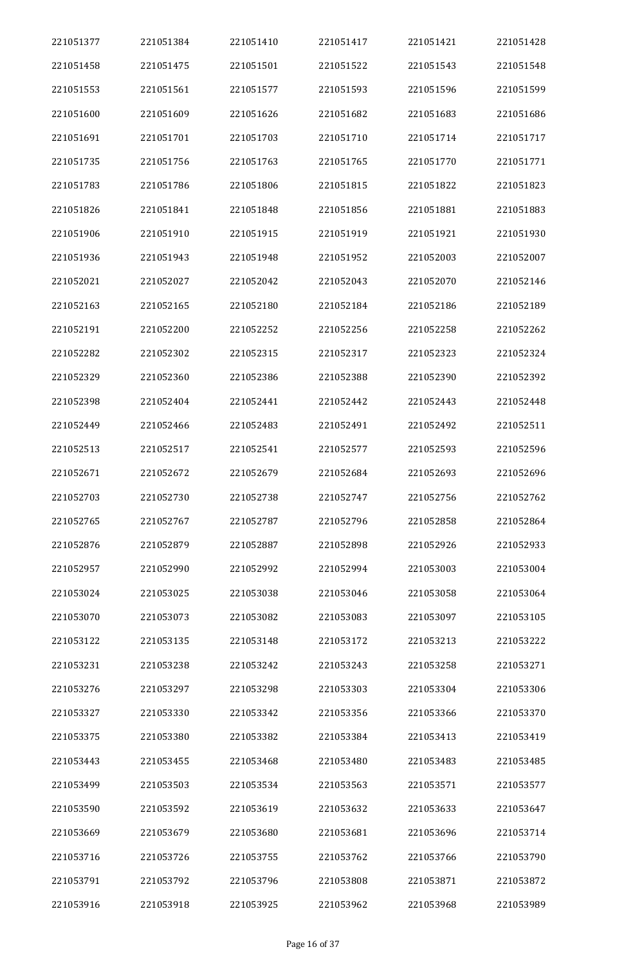| 221051377 | 221051384 | 221051410 | 221051417 | 221051421 | 221051428 |
|-----------|-----------|-----------|-----------|-----------|-----------|
| 221051458 | 221051475 | 221051501 | 221051522 | 221051543 | 221051548 |
| 221051553 | 221051561 | 221051577 | 221051593 | 221051596 | 221051599 |
| 221051600 | 221051609 | 221051626 | 221051682 | 221051683 | 221051686 |
| 221051691 | 221051701 | 221051703 | 221051710 | 221051714 | 221051717 |
| 221051735 | 221051756 | 221051763 | 221051765 | 221051770 | 221051771 |
| 221051783 | 221051786 | 221051806 | 221051815 | 221051822 | 221051823 |
| 221051826 | 221051841 | 221051848 | 221051856 | 221051881 | 221051883 |
| 221051906 | 221051910 | 221051915 | 221051919 | 221051921 | 221051930 |
| 221051936 | 221051943 | 221051948 | 221051952 | 221052003 | 221052007 |
| 221052021 | 221052027 | 221052042 | 221052043 | 221052070 | 221052146 |
| 221052163 | 221052165 | 221052180 | 221052184 | 221052186 | 221052189 |
| 221052191 | 221052200 | 221052252 | 221052256 | 221052258 | 221052262 |
| 221052282 | 221052302 | 221052315 | 221052317 | 221052323 | 221052324 |
| 221052329 | 221052360 | 221052386 | 221052388 | 221052390 | 221052392 |
| 221052398 | 221052404 | 221052441 | 221052442 | 221052443 | 221052448 |
| 221052449 | 221052466 | 221052483 | 221052491 | 221052492 | 221052511 |
| 221052513 | 221052517 | 221052541 | 221052577 | 221052593 | 221052596 |
| 221052671 | 221052672 | 221052679 | 221052684 | 221052693 | 221052696 |
| 221052703 | 221052730 | 221052738 | 221052747 | 221052756 | 221052762 |
| 221052765 | 221052767 | 221052787 | 221052796 | 221052858 | 221052864 |
| 221052876 | 221052879 | 221052887 | 221052898 | 221052926 | 221052933 |
| 221052957 | 221052990 | 221052992 | 221052994 | 221053003 | 221053004 |
| 221053024 | 221053025 | 221053038 | 221053046 | 221053058 | 221053064 |
| 221053070 | 221053073 | 221053082 | 221053083 | 221053097 | 221053105 |
| 221053122 | 221053135 | 221053148 | 221053172 | 221053213 | 221053222 |
| 221053231 | 221053238 | 221053242 | 221053243 | 221053258 | 221053271 |
| 221053276 | 221053297 | 221053298 | 221053303 | 221053304 | 221053306 |
| 221053327 | 221053330 | 221053342 | 221053356 | 221053366 | 221053370 |
| 221053375 | 221053380 | 221053382 | 221053384 | 221053413 | 221053419 |
| 221053443 | 221053455 | 221053468 | 221053480 | 221053483 | 221053485 |
| 221053499 | 221053503 | 221053534 | 221053563 | 221053571 | 221053577 |
| 221053590 | 221053592 | 221053619 | 221053632 | 221053633 | 221053647 |
| 221053669 | 221053679 | 221053680 | 221053681 | 221053696 | 221053714 |
| 221053716 | 221053726 | 221053755 | 221053762 | 221053766 | 221053790 |
| 221053791 | 221053792 | 221053796 | 221053808 | 221053871 | 221053872 |
| 221053916 | 221053918 | 221053925 | 221053962 | 221053968 | 221053989 |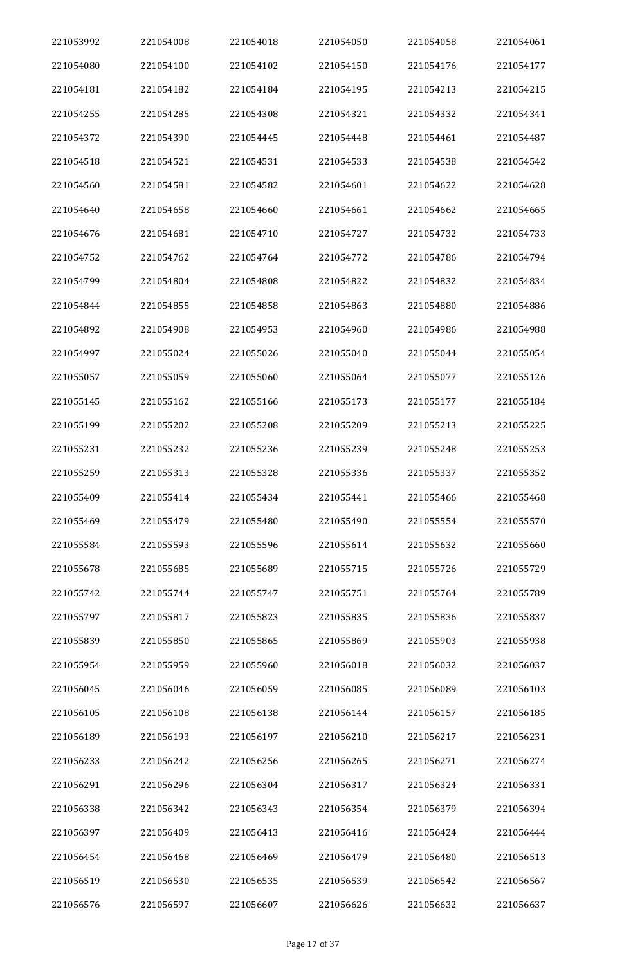| 221053992 | 221054008 | 221054018 | 221054050 | 221054058 | 221054061 |
|-----------|-----------|-----------|-----------|-----------|-----------|
| 221054080 | 221054100 | 221054102 | 221054150 | 221054176 | 221054177 |
| 221054181 | 221054182 | 221054184 | 221054195 | 221054213 | 221054215 |
| 221054255 | 221054285 | 221054308 | 221054321 | 221054332 | 221054341 |
| 221054372 | 221054390 | 221054445 | 221054448 | 221054461 | 221054487 |
| 221054518 | 221054521 | 221054531 | 221054533 | 221054538 | 221054542 |
| 221054560 | 221054581 | 221054582 | 221054601 | 221054622 | 221054628 |
| 221054640 | 221054658 | 221054660 | 221054661 | 221054662 | 221054665 |
| 221054676 | 221054681 | 221054710 | 221054727 | 221054732 | 221054733 |
| 221054752 | 221054762 | 221054764 | 221054772 | 221054786 | 221054794 |
| 221054799 | 221054804 | 221054808 | 221054822 | 221054832 | 221054834 |
| 221054844 | 221054855 | 221054858 | 221054863 | 221054880 | 221054886 |
| 221054892 | 221054908 | 221054953 | 221054960 | 221054986 | 221054988 |
| 221054997 | 221055024 | 221055026 | 221055040 | 221055044 | 221055054 |
| 221055057 | 221055059 | 221055060 | 221055064 | 221055077 | 221055126 |
| 221055145 | 221055162 | 221055166 | 221055173 | 221055177 | 221055184 |
| 221055199 | 221055202 | 221055208 | 221055209 | 221055213 | 221055225 |
| 221055231 | 221055232 | 221055236 | 221055239 | 221055248 | 221055253 |
| 221055259 | 221055313 | 221055328 | 221055336 | 221055337 | 221055352 |
| 221055409 | 221055414 | 221055434 | 221055441 | 221055466 | 221055468 |
| 221055469 | 221055479 | 221055480 | 221055490 | 221055554 | 221055570 |
| 221055584 | 221055593 | 221055596 | 221055614 | 221055632 | 221055660 |
| 221055678 | 221055685 | 221055689 | 221055715 | 221055726 | 221055729 |
| 221055742 | 221055744 | 221055747 | 221055751 | 221055764 | 221055789 |
| 221055797 | 221055817 | 221055823 | 221055835 | 221055836 | 221055837 |
| 221055839 | 221055850 | 221055865 | 221055869 | 221055903 | 221055938 |
| 221055954 | 221055959 | 221055960 | 221056018 | 221056032 | 221056037 |
| 221056045 | 221056046 | 221056059 | 221056085 | 221056089 | 221056103 |
| 221056105 | 221056108 | 221056138 | 221056144 | 221056157 | 221056185 |
| 221056189 | 221056193 | 221056197 | 221056210 | 221056217 | 221056231 |
| 221056233 | 221056242 | 221056256 | 221056265 | 221056271 | 221056274 |
| 221056291 | 221056296 | 221056304 | 221056317 | 221056324 | 221056331 |
| 221056338 | 221056342 | 221056343 | 221056354 | 221056379 | 221056394 |
| 221056397 | 221056409 | 221056413 | 221056416 | 221056424 | 221056444 |
| 221056454 | 221056468 | 221056469 | 221056479 | 221056480 | 221056513 |
| 221056519 | 221056530 | 221056535 | 221056539 | 221056542 | 221056567 |
| 221056576 | 221056597 | 221056607 | 221056626 | 221056632 | 221056637 |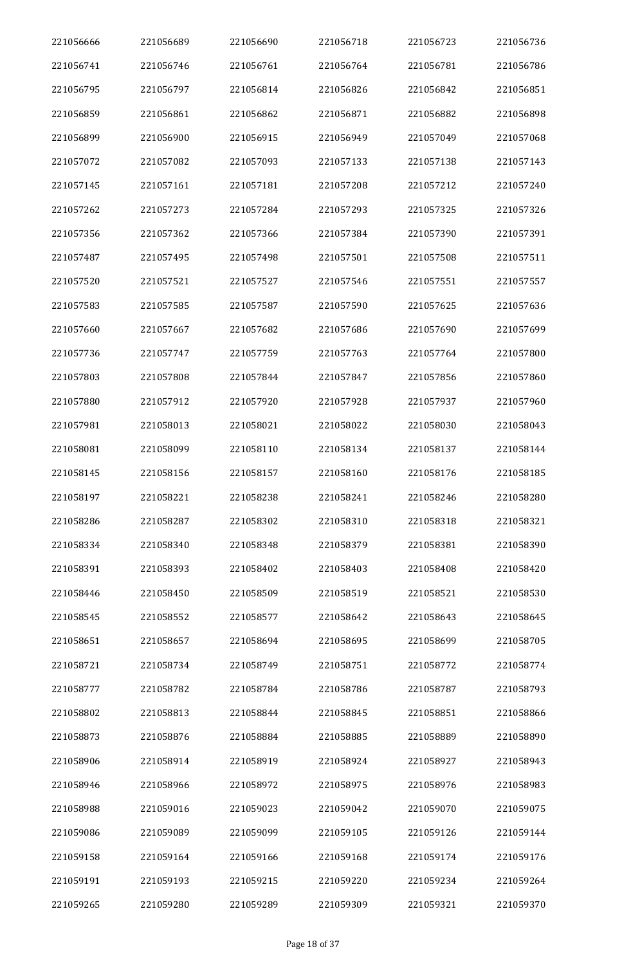| 221056666 | 221056689 | 221056690 | 221056718 | 221056723 | 221056736 |
|-----------|-----------|-----------|-----------|-----------|-----------|
| 221056741 | 221056746 | 221056761 | 221056764 | 221056781 | 221056786 |
| 221056795 | 221056797 | 221056814 | 221056826 | 221056842 | 221056851 |
| 221056859 | 221056861 | 221056862 | 221056871 | 221056882 | 221056898 |
| 221056899 | 221056900 | 221056915 | 221056949 | 221057049 | 221057068 |
| 221057072 | 221057082 | 221057093 | 221057133 | 221057138 | 221057143 |
| 221057145 | 221057161 | 221057181 | 221057208 | 221057212 | 221057240 |
| 221057262 | 221057273 | 221057284 | 221057293 | 221057325 | 221057326 |
| 221057356 | 221057362 | 221057366 | 221057384 | 221057390 | 221057391 |
| 221057487 | 221057495 | 221057498 | 221057501 | 221057508 | 221057511 |
| 221057520 | 221057521 | 221057527 | 221057546 | 221057551 | 221057557 |
| 221057583 | 221057585 | 221057587 | 221057590 | 221057625 | 221057636 |
| 221057660 | 221057667 | 221057682 | 221057686 | 221057690 | 221057699 |
| 221057736 | 221057747 | 221057759 | 221057763 | 221057764 | 221057800 |
| 221057803 | 221057808 | 221057844 | 221057847 | 221057856 | 221057860 |
| 221057880 | 221057912 | 221057920 | 221057928 | 221057937 | 221057960 |
| 221057981 | 221058013 | 221058021 | 221058022 | 221058030 | 221058043 |
| 221058081 | 221058099 | 221058110 | 221058134 | 221058137 | 221058144 |
| 221058145 | 221058156 | 221058157 | 221058160 | 221058176 | 221058185 |
| 221058197 | 221058221 | 221058238 | 221058241 | 221058246 | 221058280 |
| 221058286 | 221058287 | 221058302 | 221058310 | 221058318 | 221058321 |
| 221058334 | 221058340 | 221058348 | 221058379 | 221058381 | 221058390 |
| 221058391 | 221058393 | 221058402 | 221058403 | 221058408 | 221058420 |
| 221058446 | 221058450 | 221058509 | 221058519 | 221058521 | 221058530 |
| 221058545 | 221058552 | 221058577 | 221058642 | 221058643 | 221058645 |
| 221058651 | 221058657 | 221058694 | 221058695 | 221058699 | 221058705 |
| 221058721 | 221058734 | 221058749 | 221058751 | 221058772 | 221058774 |
| 221058777 | 221058782 | 221058784 | 221058786 | 221058787 | 221058793 |
| 221058802 | 221058813 | 221058844 | 221058845 | 221058851 | 221058866 |
| 221058873 | 221058876 | 221058884 | 221058885 | 221058889 | 221058890 |
| 221058906 | 221058914 | 221058919 | 221058924 | 221058927 | 221058943 |
| 221058946 | 221058966 | 221058972 | 221058975 | 221058976 | 221058983 |
| 221058988 | 221059016 | 221059023 | 221059042 | 221059070 | 221059075 |
| 221059086 | 221059089 | 221059099 | 221059105 | 221059126 | 221059144 |
| 221059158 | 221059164 | 221059166 | 221059168 | 221059174 | 221059176 |
| 221059191 | 221059193 | 221059215 | 221059220 | 221059234 | 221059264 |
| 221059265 | 221059280 | 221059289 | 221059309 | 221059321 | 221059370 |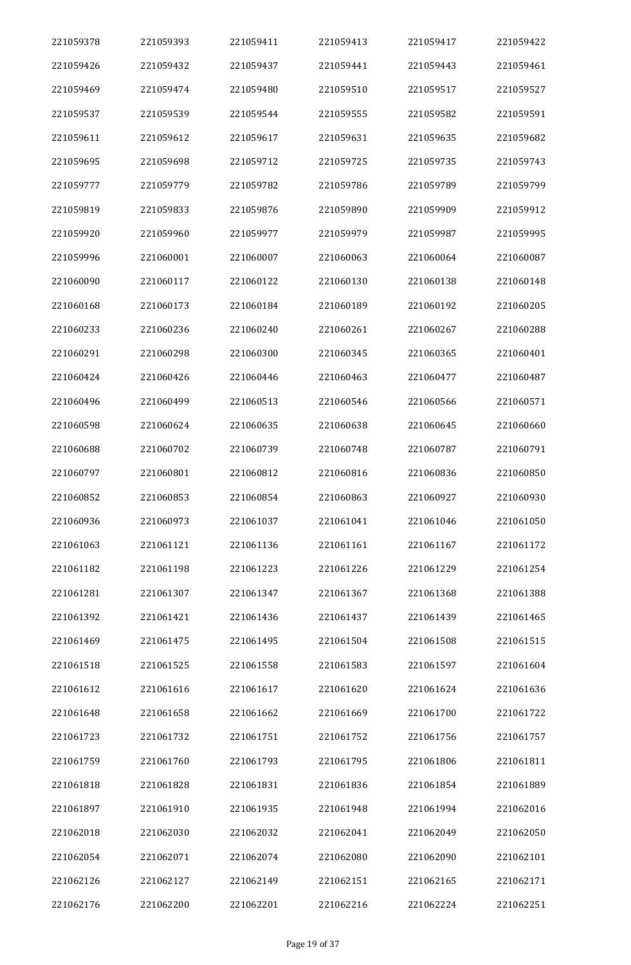| 221059378 | 221059393 | 221059411 | 221059413 | 221059417 | 221059422 |
|-----------|-----------|-----------|-----------|-----------|-----------|
| 221059426 | 221059432 | 221059437 | 221059441 | 221059443 | 221059461 |
| 221059469 | 221059474 | 221059480 | 221059510 | 221059517 | 221059527 |
| 221059537 | 221059539 | 221059544 | 221059555 | 221059582 | 221059591 |
| 221059611 | 221059612 | 221059617 | 221059631 | 221059635 | 221059682 |
| 221059695 | 221059698 | 221059712 | 221059725 | 221059735 | 221059743 |
| 221059777 | 221059779 | 221059782 | 221059786 | 221059789 | 221059799 |
| 221059819 | 221059833 | 221059876 | 221059890 | 221059909 | 221059912 |
| 221059920 | 221059960 | 221059977 | 221059979 | 221059987 | 221059995 |
| 221059996 | 221060001 | 221060007 | 221060063 | 221060064 | 221060087 |
| 221060090 | 221060117 | 221060122 | 221060130 | 221060138 | 221060148 |
| 221060168 | 221060173 | 221060184 | 221060189 | 221060192 | 221060205 |
| 221060233 | 221060236 | 221060240 | 221060261 | 221060267 | 221060288 |
| 221060291 | 221060298 | 221060300 | 221060345 | 221060365 | 221060401 |
| 221060424 | 221060426 | 221060446 | 221060463 | 221060477 | 221060487 |
| 221060496 | 221060499 | 221060513 | 221060546 | 221060566 | 221060571 |
| 221060598 | 221060624 | 221060635 | 221060638 | 221060645 | 221060660 |
| 221060688 | 221060702 | 221060739 | 221060748 | 221060787 | 221060791 |
| 221060797 | 221060801 | 221060812 | 221060816 | 221060836 | 221060850 |
| 221060852 | 221060853 | 221060854 | 221060863 | 221060927 | 221060930 |
| 221060936 | 221060973 | 221061037 | 221061041 | 221061046 | 221061050 |
| 221061063 | 221061121 | 221061136 | 221061161 | 221061167 | 221061172 |
| 221061182 | 221061198 | 221061223 | 221061226 | 221061229 | 221061254 |
| 221061281 | 221061307 | 221061347 | 221061367 | 221061368 | 221061388 |
| 221061392 | 221061421 | 221061436 | 221061437 | 221061439 | 221061465 |
| 221061469 | 221061475 | 221061495 | 221061504 | 221061508 | 221061515 |
| 221061518 | 221061525 | 221061558 | 221061583 | 221061597 | 221061604 |
| 221061612 | 221061616 | 221061617 | 221061620 | 221061624 | 221061636 |
| 221061648 | 221061658 | 221061662 | 221061669 | 221061700 | 221061722 |
| 221061723 | 221061732 | 221061751 | 221061752 | 221061756 | 221061757 |
| 221061759 | 221061760 | 221061793 | 221061795 | 221061806 | 221061811 |
| 221061818 | 221061828 | 221061831 | 221061836 | 221061854 | 221061889 |
| 221061897 | 221061910 | 221061935 | 221061948 | 221061994 | 221062016 |
| 221062018 | 221062030 | 221062032 | 221062041 | 221062049 | 221062050 |
| 221062054 | 221062071 | 221062074 | 221062080 | 221062090 | 221062101 |
| 221062126 | 221062127 | 221062149 | 221062151 | 221062165 | 221062171 |
| 221062176 | 221062200 | 221062201 | 221062216 | 221062224 | 221062251 |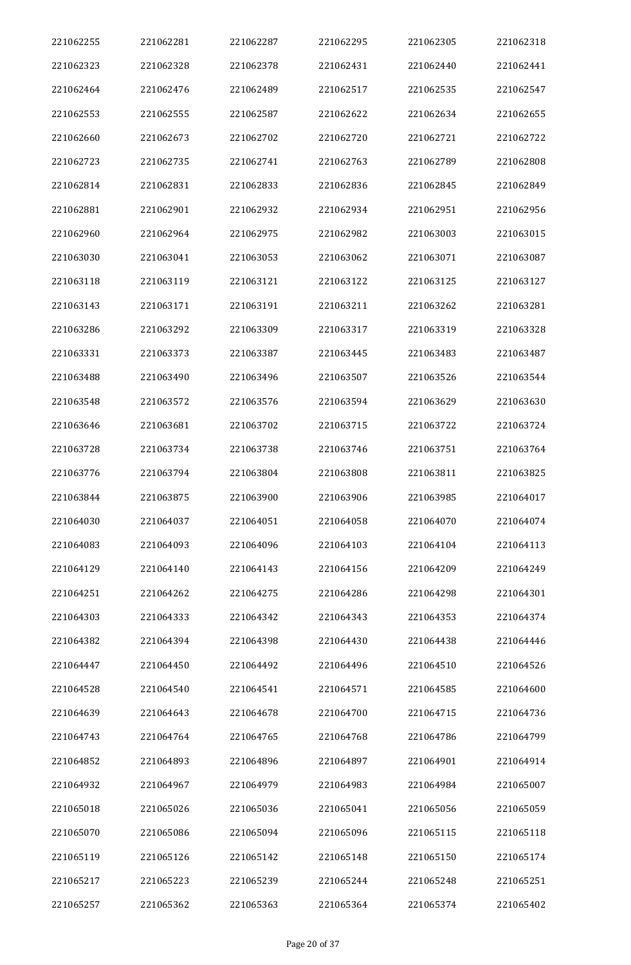| 221062255 | 221062281 | 221062287 | 221062295 | 221062305 | 221062318 |
|-----------|-----------|-----------|-----------|-----------|-----------|
| 221062323 | 221062328 | 221062378 | 221062431 | 221062440 | 221062441 |
| 221062464 | 221062476 | 221062489 | 221062517 | 221062535 | 221062547 |
| 221062553 | 221062555 | 221062587 | 221062622 | 221062634 | 221062655 |
| 221062660 | 221062673 | 221062702 | 221062720 | 221062721 | 221062722 |
| 221062723 | 221062735 | 221062741 | 221062763 | 221062789 | 221062808 |
| 221062814 | 221062831 | 221062833 | 221062836 | 221062845 | 221062849 |
| 221062881 | 221062901 | 221062932 | 221062934 | 221062951 | 221062956 |
| 221062960 | 221062964 | 221062975 | 221062982 | 221063003 | 221063015 |
| 221063030 | 221063041 | 221063053 | 221063062 | 221063071 | 221063087 |
| 221063118 | 221063119 | 221063121 | 221063122 | 221063125 | 221063127 |
| 221063143 | 221063171 | 221063191 | 221063211 | 221063262 | 221063281 |
| 221063286 | 221063292 | 221063309 | 221063317 | 221063319 | 221063328 |
| 221063331 | 221063373 | 221063387 | 221063445 | 221063483 | 221063487 |
| 221063488 | 221063490 | 221063496 | 221063507 | 221063526 | 221063544 |
| 221063548 | 221063572 | 221063576 | 221063594 | 221063629 | 221063630 |
| 221063646 | 221063681 | 221063702 | 221063715 | 221063722 | 221063724 |
| 221063728 | 221063734 | 221063738 | 221063746 | 221063751 | 221063764 |
| 221063776 | 221063794 | 221063804 | 221063808 | 221063811 | 221063825 |
| 221063844 | 221063875 | 221063900 | 221063906 | 221063985 | 221064017 |
| 221064030 | 221064037 | 221064051 | 221064058 | 221064070 | 221064074 |
| 221064083 | 221064093 | 221064096 | 221064103 | 221064104 | 221064113 |
| 221064129 | 221064140 | 221064143 | 221064156 | 221064209 | 221064249 |
| 221064251 | 221064262 | 221064275 | 221064286 | 221064298 | 221064301 |
| 221064303 | 221064333 | 221064342 | 221064343 | 221064353 | 221064374 |
| 221064382 | 221064394 | 221064398 | 221064430 | 221064438 | 221064446 |
| 221064447 | 221064450 | 221064492 | 221064496 | 221064510 | 221064526 |
| 221064528 | 221064540 | 221064541 | 221064571 | 221064585 | 221064600 |
| 221064639 | 221064643 | 221064678 | 221064700 | 221064715 | 221064736 |
| 221064743 | 221064764 | 221064765 | 221064768 | 221064786 | 221064799 |
| 221064852 | 221064893 | 221064896 | 221064897 | 221064901 | 221064914 |
| 221064932 | 221064967 | 221064979 | 221064983 | 221064984 | 221065007 |
| 221065018 | 221065026 | 221065036 | 221065041 | 221065056 | 221065059 |
| 221065070 | 221065086 | 221065094 | 221065096 | 221065115 | 221065118 |
| 221065119 | 221065126 | 221065142 | 221065148 | 221065150 | 221065174 |
| 221065217 | 221065223 | 221065239 | 221065244 | 221065248 | 221065251 |
| 221065257 | 221065362 | 221065363 | 221065364 | 221065374 | 221065402 |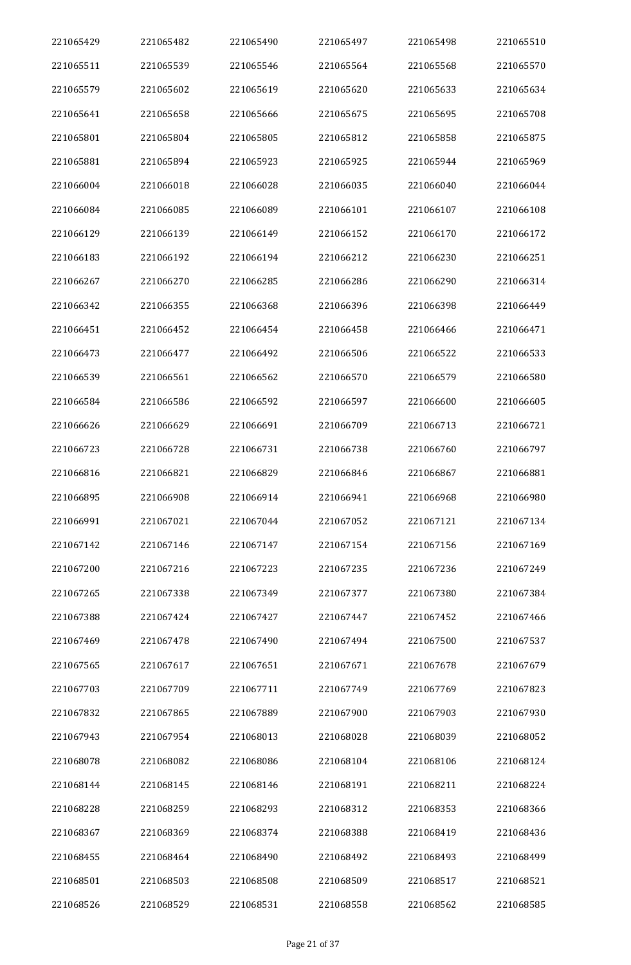| 221065429 | 221065482 | 221065490 | 221065497 | 221065498 | 221065510 |
|-----------|-----------|-----------|-----------|-----------|-----------|
| 221065511 | 221065539 | 221065546 | 221065564 | 221065568 | 221065570 |
| 221065579 | 221065602 | 221065619 | 221065620 | 221065633 | 221065634 |
| 221065641 | 221065658 | 221065666 | 221065675 | 221065695 | 221065708 |
| 221065801 | 221065804 | 221065805 | 221065812 | 221065858 | 221065875 |
| 221065881 | 221065894 | 221065923 | 221065925 | 221065944 | 221065969 |
| 221066004 | 221066018 | 221066028 | 221066035 | 221066040 | 221066044 |
| 221066084 | 221066085 | 221066089 | 221066101 | 221066107 | 221066108 |
| 221066129 | 221066139 | 221066149 | 221066152 | 221066170 | 221066172 |
| 221066183 | 221066192 | 221066194 | 221066212 | 221066230 | 221066251 |
| 221066267 | 221066270 | 221066285 | 221066286 | 221066290 | 221066314 |
| 221066342 | 221066355 | 221066368 | 221066396 | 221066398 | 221066449 |
| 221066451 | 221066452 | 221066454 | 221066458 | 221066466 | 221066471 |
| 221066473 | 221066477 | 221066492 | 221066506 | 221066522 | 221066533 |
| 221066539 | 221066561 | 221066562 | 221066570 | 221066579 | 221066580 |
| 221066584 | 221066586 | 221066592 | 221066597 | 221066600 | 221066605 |
| 221066626 | 221066629 | 221066691 | 221066709 | 221066713 | 221066721 |
| 221066723 | 221066728 | 221066731 | 221066738 | 221066760 | 221066797 |
| 221066816 | 221066821 | 221066829 | 221066846 | 221066867 | 221066881 |
| 221066895 | 221066908 | 221066914 | 221066941 | 221066968 | 221066980 |
| 221066991 | 221067021 | 221067044 | 221067052 | 221067121 | 221067134 |
| 221067142 | 221067146 | 221067147 | 221067154 | 221067156 | 221067169 |
| 221067200 | 221067216 | 221067223 | 221067235 | 221067236 | 221067249 |
| 221067265 | 221067338 | 221067349 | 221067377 | 221067380 | 221067384 |
| 221067388 | 221067424 | 221067427 | 221067447 | 221067452 | 221067466 |
| 221067469 | 221067478 | 221067490 | 221067494 | 221067500 | 221067537 |
| 221067565 | 221067617 | 221067651 | 221067671 | 221067678 | 221067679 |
| 221067703 | 221067709 | 221067711 | 221067749 | 221067769 | 221067823 |
| 221067832 | 221067865 | 221067889 | 221067900 | 221067903 | 221067930 |
| 221067943 | 221067954 | 221068013 | 221068028 | 221068039 | 221068052 |
| 221068078 | 221068082 | 221068086 | 221068104 | 221068106 | 221068124 |
| 221068144 | 221068145 | 221068146 | 221068191 | 221068211 | 221068224 |
| 221068228 | 221068259 | 221068293 | 221068312 | 221068353 | 221068366 |
| 221068367 | 221068369 | 221068374 | 221068388 | 221068419 | 221068436 |
| 221068455 | 221068464 | 221068490 | 221068492 | 221068493 | 221068499 |
| 221068501 | 221068503 | 221068508 | 221068509 | 221068517 | 221068521 |
| 221068526 | 221068529 | 221068531 | 221068558 | 221068562 | 221068585 |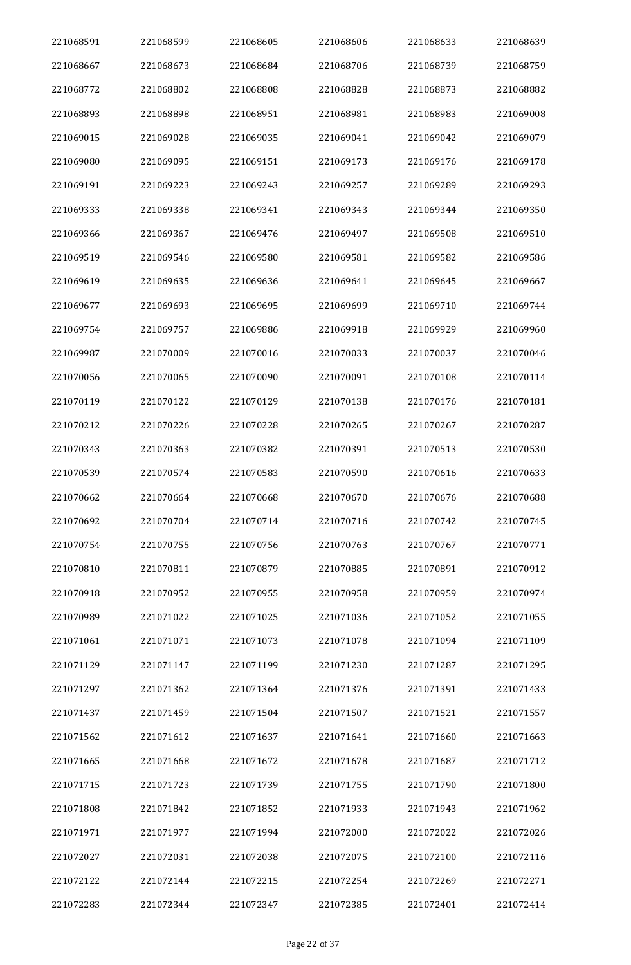| 221068591 | 221068599 | 221068605 | 221068606 | 221068633 | 221068639 |
|-----------|-----------|-----------|-----------|-----------|-----------|
| 221068667 | 221068673 | 221068684 | 221068706 | 221068739 | 221068759 |
| 221068772 | 221068802 | 221068808 | 221068828 | 221068873 | 221068882 |
| 221068893 | 221068898 | 221068951 | 221068981 | 221068983 | 221069008 |
| 221069015 | 221069028 | 221069035 | 221069041 | 221069042 | 221069079 |
| 221069080 | 221069095 | 221069151 | 221069173 | 221069176 | 221069178 |
| 221069191 | 221069223 | 221069243 | 221069257 | 221069289 | 221069293 |
| 221069333 | 221069338 | 221069341 | 221069343 | 221069344 | 221069350 |
| 221069366 | 221069367 | 221069476 | 221069497 | 221069508 | 221069510 |
| 221069519 | 221069546 | 221069580 | 221069581 | 221069582 | 221069586 |
| 221069619 | 221069635 | 221069636 | 221069641 | 221069645 | 221069667 |
| 221069677 | 221069693 | 221069695 | 221069699 | 221069710 | 221069744 |
| 221069754 | 221069757 | 221069886 | 221069918 | 221069929 | 221069960 |
| 221069987 | 221070009 | 221070016 | 221070033 | 221070037 | 221070046 |
| 221070056 | 221070065 | 221070090 | 221070091 | 221070108 | 221070114 |
| 221070119 | 221070122 | 221070129 | 221070138 | 221070176 | 221070181 |
| 221070212 | 221070226 | 221070228 | 221070265 | 221070267 | 221070287 |
| 221070343 | 221070363 | 221070382 | 221070391 | 221070513 | 221070530 |
| 221070539 | 221070574 | 221070583 | 221070590 | 221070616 | 221070633 |
| 221070662 | 221070664 | 221070668 | 221070670 | 221070676 | 221070688 |
| 221070692 | 221070704 | 221070714 | 221070716 | 221070742 | 221070745 |
| 221070754 | 221070755 | 221070756 | 221070763 | 221070767 | 221070771 |
| 221070810 | 221070811 | 221070879 | 221070885 | 221070891 | 221070912 |
| 221070918 | 221070952 | 221070955 | 221070958 | 221070959 | 221070974 |
| 221070989 | 221071022 | 221071025 | 221071036 | 221071052 | 221071055 |
| 221071061 | 221071071 | 221071073 | 221071078 | 221071094 | 221071109 |
| 221071129 | 221071147 | 221071199 | 221071230 | 221071287 | 221071295 |
| 221071297 | 221071362 | 221071364 | 221071376 | 221071391 | 221071433 |
| 221071437 | 221071459 | 221071504 | 221071507 | 221071521 | 221071557 |
| 221071562 | 221071612 | 221071637 | 221071641 | 221071660 | 221071663 |
| 221071665 | 221071668 | 221071672 | 221071678 | 221071687 | 221071712 |
| 221071715 | 221071723 | 221071739 | 221071755 | 221071790 | 221071800 |
| 221071808 | 221071842 | 221071852 | 221071933 | 221071943 | 221071962 |
| 221071971 | 221071977 | 221071994 | 221072000 | 221072022 | 221072026 |
| 221072027 | 221072031 | 221072038 | 221072075 | 221072100 | 221072116 |
| 221072122 | 221072144 | 221072215 | 221072254 | 221072269 | 221072271 |
| 221072283 | 221072344 | 221072347 | 221072385 | 221072401 | 221072414 |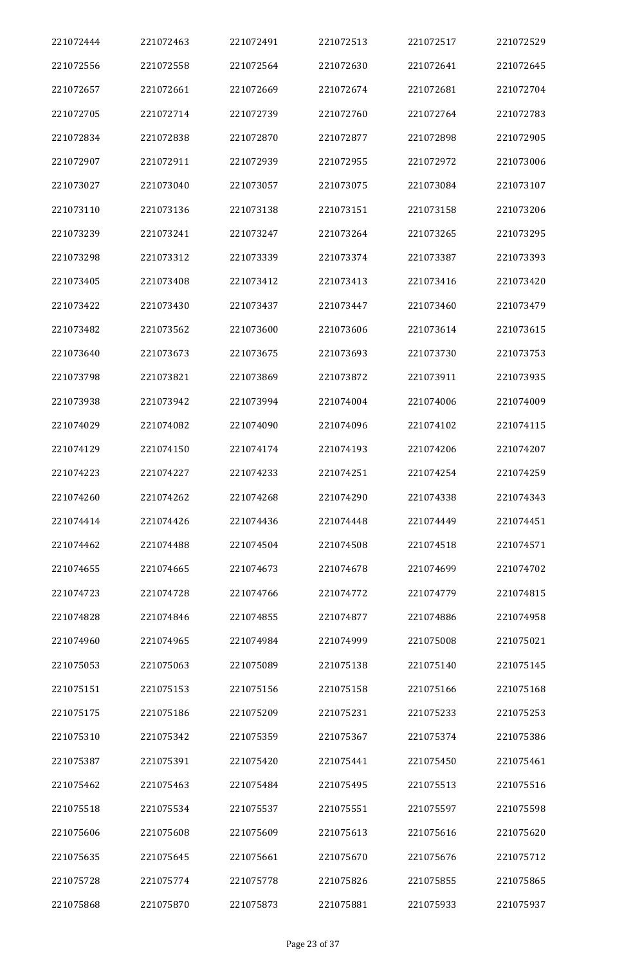| 221072444 | 221072463 | 221072491 | 221072513 | 221072517 | 221072529 |
|-----------|-----------|-----------|-----------|-----------|-----------|
| 221072556 | 221072558 | 221072564 | 221072630 | 221072641 | 221072645 |
| 221072657 | 221072661 | 221072669 | 221072674 | 221072681 | 221072704 |
| 221072705 | 221072714 | 221072739 | 221072760 | 221072764 | 221072783 |
| 221072834 | 221072838 | 221072870 | 221072877 | 221072898 | 221072905 |
| 221072907 | 221072911 | 221072939 | 221072955 | 221072972 | 221073006 |
| 221073027 | 221073040 | 221073057 | 221073075 | 221073084 | 221073107 |
| 221073110 | 221073136 | 221073138 | 221073151 | 221073158 | 221073206 |
| 221073239 | 221073241 | 221073247 | 221073264 | 221073265 | 221073295 |
| 221073298 | 221073312 | 221073339 | 221073374 | 221073387 | 221073393 |
| 221073405 | 221073408 | 221073412 | 221073413 | 221073416 | 221073420 |
| 221073422 | 221073430 | 221073437 | 221073447 | 221073460 | 221073479 |
| 221073482 | 221073562 | 221073600 | 221073606 | 221073614 | 221073615 |
| 221073640 | 221073673 | 221073675 | 221073693 | 221073730 | 221073753 |
| 221073798 | 221073821 | 221073869 | 221073872 | 221073911 | 221073935 |
| 221073938 | 221073942 | 221073994 | 221074004 | 221074006 | 221074009 |
| 221074029 | 221074082 | 221074090 | 221074096 | 221074102 | 221074115 |
| 221074129 | 221074150 | 221074174 | 221074193 | 221074206 | 221074207 |
| 221074223 | 221074227 | 221074233 | 221074251 | 221074254 | 221074259 |
| 221074260 | 221074262 | 221074268 | 221074290 | 221074338 | 221074343 |
| 221074414 | 221074426 | 221074436 | 221074448 | 221074449 | 221074451 |
| 221074462 | 221074488 | 221074504 | 221074508 | 221074518 | 221074571 |
| 221074655 | 221074665 | 221074673 | 221074678 | 221074699 | 221074702 |
| 221074723 | 221074728 | 221074766 | 221074772 | 221074779 | 221074815 |
| 221074828 | 221074846 | 221074855 | 221074877 | 221074886 | 221074958 |
| 221074960 | 221074965 | 221074984 | 221074999 | 221075008 | 221075021 |
| 221075053 | 221075063 | 221075089 | 221075138 | 221075140 | 221075145 |
| 221075151 | 221075153 | 221075156 | 221075158 | 221075166 | 221075168 |
| 221075175 | 221075186 | 221075209 | 221075231 | 221075233 | 221075253 |
| 221075310 | 221075342 | 221075359 | 221075367 | 221075374 | 221075386 |
| 221075387 | 221075391 | 221075420 | 221075441 | 221075450 | 221075461 |
| 221075462 | 221075463 | 221075484 | 221075495 | 221075513 | 221075516 |
| 221075518 | 221075534 | 221075537 | 221075551 | 221075597 | 221075598 |
| 221075606 | 221075608 | 221075609 | 221075613 | 221075616 | 221075620 |
| 221075635 | 221075645 | 221075661 | 221075670 | 221075676 | 221075712 |
| 221075728 | 221075774 | 221075778 | 221075826 | 221075855 | 221075865 |
| 221075868 | 221075870 | 221075873 | 221075881 | 221075933 | 221075937 |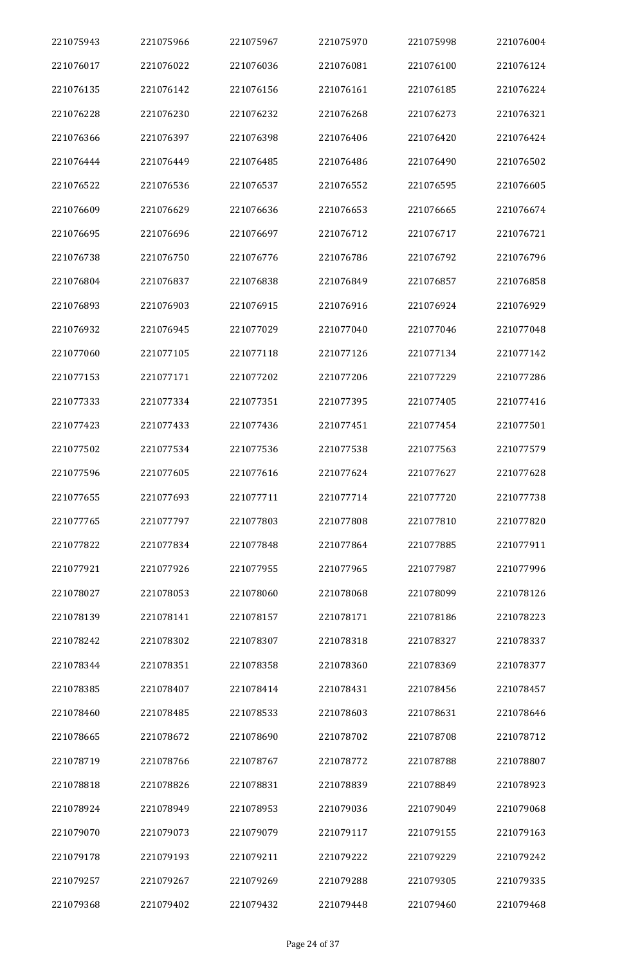| 221075943 | 221075966 | 221075967 | 221075970 | 221075998 | 221076004 |
|-----------|-----------|-----------|-----------|-----------|-----------|
| 221076017 | 221076022 | 221076036 | 221076081 | 221076100 | 221076124 |
| 221076135 | 221076142 | 221076156 | 221076161 | 221076185 | 221076224 |
| 221076228 | 221076230 | 221076232 | 221076268 | 221076273 | 221076321 |
| 221076366 | 221076397 | 221076398 | 221076406 | 221076420 | 221076424 |
| 221076444 | 221076449 | 221076485 | 221076486 | 221076490 | 221076502 |
| 221076522 | 221076536 | 221076537 | 221076552 | 221076595 | 221076605 |
| 221076609 | 221076629 | 221076636 | 221076653 | 221076665 | 221076674 |
| 221076695 | 221076696 | 221076697 | 221076712 | 221076717 | 221076721 |
| 221076738 | 221076750 | 221076776 | 221076786 | 221076792 | 221076796 |
| 221076804 | 221076837 | 221076838 | 221076849 | 221076857 | 221076858 |
| 221076893 | 221076903 | 221076915 | 221076916 | 221076924 | 221076929 |
| 221076932 | 221076945 | 221077029 | 221077040 | 221077046 | 221077048 |
| 221077060 | 221077105 | 221077118 | 221077126 | 221077134 | 221077142 |
| 221077153 | 221077171 | 221077202 | 221077206 | 221077229 | 221077286 |
| 221077333 | 221077334 | 221077351 | 221077395 | 221077405 | 221077416 |
| 221077423 | 221077433 | 221077436 | 221077451 | 221077454 | 221077501 |
| 221077502 | 221077534 | 221077536 | 221077538 | 221077563 | 221077579 |
| 221077596 | 221077605 | 221077616 | 221077624 | 221077627 | 221077628 |
| 221077655 | 221077693 | 221077711 | 221077714 | 221077720 | 221077738 |
| 221077765 | 221077797 | 221077803 | 221077808 | 221077810 | 221077820 |
| 221077822 | 221077834 | 221077848 | 221077864 | 221077885 | 221077911 |
| 221077921 | 221077926 | 221077955 | 221077965 | 221077987 | 221077996 |
| 221078027 | 221078053 | 221078060 | 221078068 | 221078099 | 221078126 |
| 221078139 | 221078141 | 221078157 | 221078171 | 221078186 | 221078223 |
| 221078242 | 221078302 | 221078307 | 221078318 | 221078327 | 221078337 |
| 221078344 | 221078351 | 221078358 | 221078360 | 221078369 | 221078377 |
| 221078385 | 221078407 | 221078414 | 221078431 | 221078456 | 221078457 |
| 221078460 | 221078485 | 221078533 | 221078603 | 221078631 | 221078646 |
| 221078665 | 221078672 | 221078690 | 221078702 | 221078708 | 221078712 |
| 221078719 | 221078766 | 221078767 | 221078772 | 221078788 | 221078807 |
| 221078818 | 221078826 | 221078831 | 221078839 | 221078849 | 221078923 |
| 221078924 | 221078949 | 221078953 | 221079036 | 221079049 | 221079068 |
| 221079070 | 221079073 | 221079079 | 221079117 | 221079155 | 221079163 |
| 221079178 | 221079193 | 221079211 | 221079222 | 221079229 | 221079242 |
| 221079257 | 221079267 | 221079269 | 221079288 | 221079305 | 221079335 |
| 221079368 | 221079402 | 221079432 | 221079448 | 221079460 | 221079468 |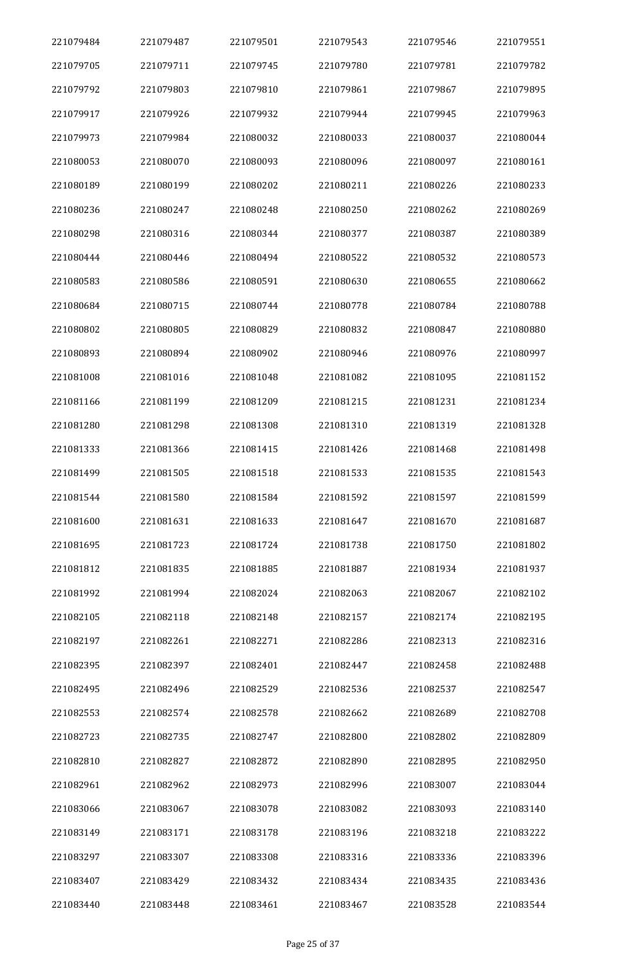| 221079484 | 221079487 | 221079501 | 221079543 | 221079546 | 221079551 |
|-----------|-----------|-----------|-----------|-----------|-----------|
| 221079705 | 221079711 | 221079745 | 221079780 | 221079781 | 221079782 |
| 221079792 | 221079803 | 221079810 | 221079861 | 221079867 | 221079895 |
| 221079917 | 221079926 | 221079932 | 221079944 | 221079945 | 221079963 |
| 221079973 | 221079984 | 221080032 | 221080033 | 221080037 | 221080044 |
| 221080053 | 221080070 | 221080093 | 221080096 | 221080097 | 221080161 |
| 221080189 | 221080199 | 221080202 | 221080211 | 221080226 | 221080233 |
| 221080236 | 221080247 | 221080248 | 221080250 | 221080262 | 221080269 |
| 221080298 | 221080316 | 221080344 | 221080377 | 221080387 | 221080389 |
| 221080444 | 221080446 | 221080494 | 221080522 | 221080532 | 221080573 |
| 221080583 | 221080586 | 221080591 | 221080630 | 221080655 | 221080662 |
| 221080684 | 221080715 | 221080744 | 221080778 | 221080784 | 221080788 |
| 221080802 | 221080805 | 221080829 | 221080832 | 221080847 | 221080880 |
| 221080893 | 221080894 | 221080902 | 221080946 | 221080976 | 221080997 |
| 221081008 | 221081016 | 221081048 | 221081082 | 221081095 | 221081152 |
| 221081166 | 221081199 | 221081209 | 221081215 | 221081231 | 221081234 |
| 221081280 | 221081298 | 221081308 | 221081310 | 221081319 | 221081328 |
| 221081333 | 221081366 | 221081415 | 221081426 | 221081468 | 221081498 |
| 221081499 | 221081505 | 221081518 | 221081533 | 221081535 | 221081543 |
| 221081544 | 221081580 | 221081584 | 221081592 | 221081597 | 221081599 |
| 221081600 | 221081631 | 221081633 | 221081647 | 221081670 | 221081687 |
| 221081695 | 221081723 | 221081724 | 221081738 | 221081750 | 221081802 |
| 221081812 | 221081835 | 221081885 | 221081887 | 221081934 | 221081937 |
| 221081992 | 221081994 | 221082024 | 221082063 | 221082067 | 221082102 |
| 221082105 | 221082118 | 221082148 | 221082157 | 221082174 | 221082195 |
| 221082197 | 221082261 | 221082271 | 221082286 | 221082313 | 221082316 |
| 221082395 | 221082397 | 221082401 | 221082447 | 221082458 | 221082488 |
| 221082495 | 221082496 | 221082529 | 221082536 | 221082537 | 221082547 |
| 221082553 | 221082574 | 221082578 | 221082662 | 221082689 | 221082708 |
| 221082723 | 221082735 | 221082747 | 221082800 | 221082802 | 221082809 |
| 221082810 | 221082827 | 221082872 | 221082890 | 221082895 | 221082950 |
| 221082961 | 221082962 | 221082973 | 221082996 | 221083007 | 221083044 |
| 221083066 | 221083067 | 221083078 | 221083082 | 221083093 | 221083140 |
| 221083149 | 221083171 | 221083178 | 221083196 | 221083218 | 221083222 |
| 221083297 | 221083307 | 221083308 | 221083316 | 221083336 | 221083396 |
| 221083407 | 221083429 | 221083432 | 221083434 | 221083435 | 221083436 |
| 221083440 | 221083448 | 221083461 | 221083467 | 221083528 | 221083544 |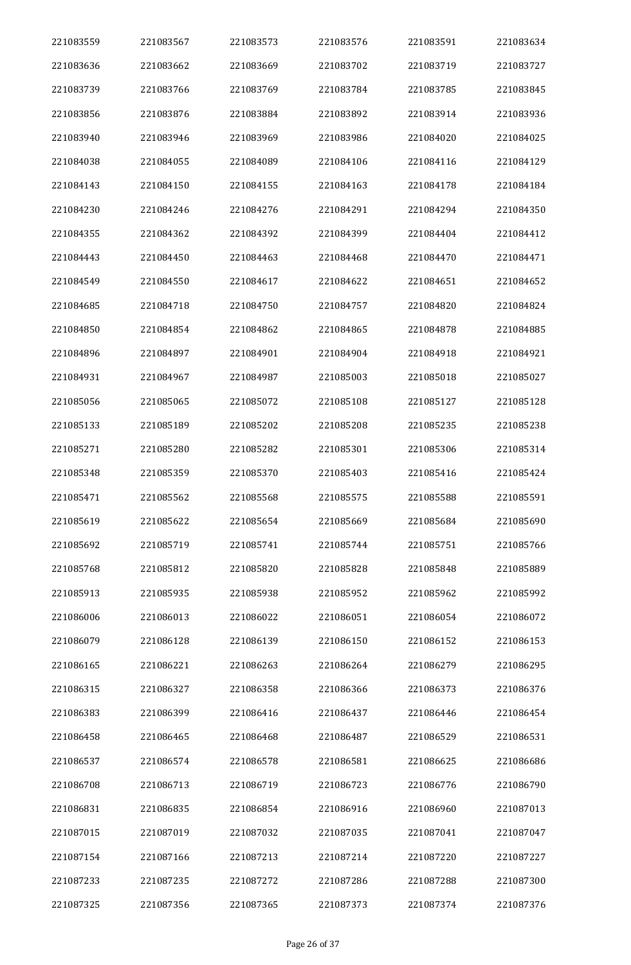| 221083559 | 221083567 | 221083573 | 221083576 | 221083591 | 221083634 |
|-----------|-----------|-----------|-----------|-----------|-----------|
| 221083636 | 221083662 | 221083669 | 221083702 | 221083719 | 221083727 |
| 221083739 | 221083766 | 221083769 | 221083784 | 221083785 | 221083845 |
| 221083856 | 221083876 | 221083884 | 221083892 | 221083914 | 221083936 |
| 221083940 | 221083946 | 221083969 | 221083986 | 221084020 | 221084025 |
| 221084038 | 221084055 | 221084089 | 221084106 | 221084116 | 221084129 |
| 221084143 | 221084150 | 221084155 | 221084163 | 221084178 | 221084184 |
| 221084230 | 221084246 | 221084276 | 221084291 | 221084294 | 221084350 |
| 221084355 | 221084362 | 221084392 | 221084399 | 221084404 | 221084412 |
| 221084443 | 221084450 | 221084463 | 221084468 | 221084470 | 221084471 |
| 221084549 | 221084550 | 221084617 | 221084622 | 221084651 | 221084652 |
| 221084685 | 221084718 | 221084750 | 221084757 | 221084820 | 221084824 |
| 221084850 | 221084854 | 221084862 | 221084865 | 221084878 | 221084885 |
| 221084896 | 221084897 | 221084901 | 221084904 | 221084918 | 221084921 |
| 221084931 | 221084967 | 221084987 | 221085003 | 221085018 | 221085027 |
| 221085056 | 221085065 | 221085072 | 221085108 | 221085127 | 221085128 |
| 221085133 | 221085189 | 221085202 | 221085208 | 221085235 | 221085238 |
| 221085271 | 221085280 | 221085282 | 221085301 | 221085306 | 221085314 |
| 221085348 | 221085359 | 221085370 | 221085403 | 221085416 | 221085424 |
| 221085471 | 221085562 | 221085568 | 221085575 | 221085588 | 221085591 |
| 221085619 | 221085622 | 221085654 | 221085669 | 221085684 | 221085690 |
| 221085692 | 221085719 | 221085741 | 221085744 | 221085751 | 221085766 |
| 221085768 | 221085812 | 221085820 | 221085828 | 221085848 | 221085889 |
| 221085913 | 221085935 | 221085938 | 221085952 | 221085962 | 221085992 |
| 221086006 | 221086013 | 221086022 | 221086051 | 221086054 | 221086072 |
| 221086079 | 221086128 | 221086139 | 221086150 | 221086152 | 221086153 |
| 221086165 | 221086221 | 221086263 | 221086264 | 221086279 | 221086295 |
| 221086315 | 221086327 | 221086358 | 221086366 | 221086373 | 221086376 |
| 221086383 | 221086399 | 221086416 | 221086437 | 221086446 | 221086454 |
| 221086458 | 221086465 | 221086468 | 221086487 | 221086529 | 221086531 |
| 221086537 | 221086574 | 221086578 | 221086581 | 221086625 | 221086686 |
| 221086708 | 221086713 | 221086719 | 221086723 | 221086776 | 221086790 |
| 221086831 | 221086835 | 221086854 | 221086916 | 221086960 | 221087013 |
| 221087015 | 221087019 | 221087032 | 221087035 | 221087041 | 221087047 |
| 221087154 | 221087166 | 221087213 | 221087214 | 221087220 | 221087227 |
| 221087233 | 221087235 | 221087272 | 221087286 | 221087288 | 221087300 |
| 221087325 | 221087356 | 221087365 | 221087373 | 221087374 | 221087376 |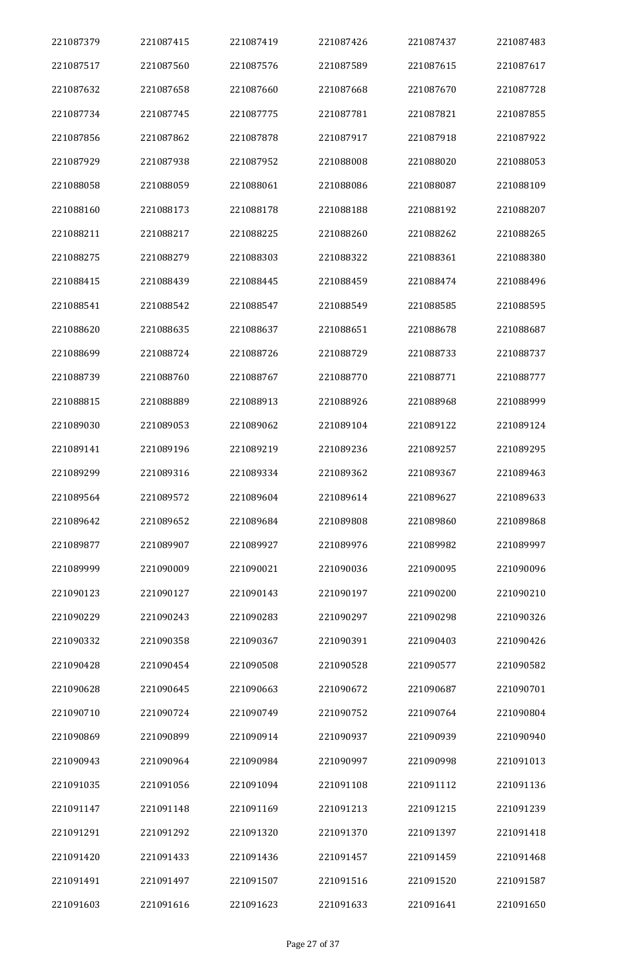| 221087379 | 221087415 | 221087419 | 221087426 | 221087437 | 221087483 |
|-----------|-----------|-----------|-----------|-----------|-----------|
| 221087517 | 221087560 | 221087576 | 221087589 | 221087615 | 221087617 |
| 221087632 | 221087658 | 221087660 | 221087668 | 221087670 | 221087728 |
| 221087734 | 221087745 | 221087775 | 221087781 | 221087821 | 221087855 |
| 221087856 | 221087862 | 221087878 | 221087917 | 221087918 | 221087922 |
| 221087929 | 221087938 | 221087952 | 221088008 | 221088020 | 221088053 |
| 221088058 | 221088059 | 221088061 | 221088086 | 221088087 | 221088109 |
| 221088160 | 221088173 | 221088178 | 221088188 | 221088192 | 221088207 |
| 221088211 | 221088217 | 221088225 | 221088260 | 221088262 | 221088265 |
| 221088275 | 221088279 | 221088303 | 221088322 | 221088361 | 221088380 |
| 221088415 | 221088439 | 221088445 | 221088459 | 221088474 | 221088496 |
| 221088541 | 221088542 | 221088547 | 221088549 | 221088585 | 221088595 |
| 221088620 | 221088635 | 221088637 | 221088651 | 221088678 | 221088687 |
| 221088699 | 221088724 | 221088726 | 221088729 | 221088733 | 221088737 |
| 221088739 | 221088760 | 221088767 | 221088770 | 221088771 | 221088777 |
| 221088815 | 221088889 | 221088913 | 221088926 | 221088968 | 221088999 |
| 221089030 | 221089053 | 221089062 | 221089104 | 221089122 | 221089124 |
| 221089141 | 221089196 | 221089219 | 221089236 | 221089257 | 221089295 |
| 221089299 | 221089316 | 221089334 | 221089362 | 221089367 | 221089463 |
| 221089564 | 221089572 | 221089604 | 221089614 | 221089627 | 221089633 |
| 221089642 | 221089652 | 221089684 | 221089808 | 221089860 | 221089868 |
| 221089877 | 221089907 | 221089927 | 221089976 | 221089982 | 221089997 |
| 221089999 | 221090009 | 221090021 | 221090036 | 221090095 | 221090096 |
| 221090123 | 221090127 | 221090143 | 221090197 | 221090200 | 221090210 |
| 221090229 | 221090243 | 221090283 | 221090297 | 221090298 | 221090326 |
| 221090332 | 221090358 | 221090367 | 221090391 | 221090403 | 221090426 |
| 221090428 | 221090454 | 221090508 | 221090528 | 221090577 | 221090582 |
| 221090628 | 221090645 | 221090663 | 221090672 | 221090687 | 221090701 |
| 221090710 | 221090724 | 221090749 | 221090752 | 221090764 | 221090804 |
| 221090869 | 221090899 | 221090914 | 221090937 | 221090939 | 221090940 |
| 221090943 | 221090964 | 221090984 | 221090997 | 221090998 | 221091013 |
| 221091035 | 221091056 | 221091094 | 221091108 | 221091112 | 221091136 |
| 221091147 | 221091148 | 221091169 | 221091213 | 221091215 | 221091239 |
| 221091291 | 221091292 | 221091320 | 221091370 | 221091397 | 221091418 |
| 221091420 | 221091433 | 221091436 | 221091457 | 221091459 | 221091468 |
| 221091491 | 221091497 | 221091507 | 221091516 | 221091520 | 221091587 |
| 221091603 | 221091616 | 221091623 | 221091633 | 221091641 | 221091650 |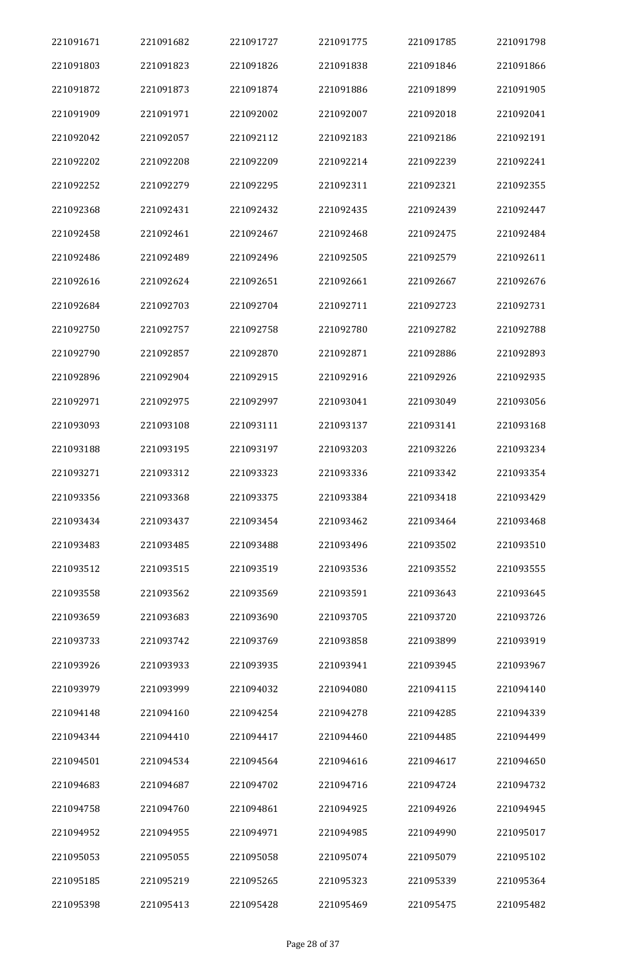| 221091671 | 221091682 | 221091727 | 221091775 | 221091785 | 221091798 |
|-----------|-----------|-----------|-----------|-----------|-----------|
| 221091803 | 221091823 | 221091826 | 221091838 | 221091846 | 221091866 |
| 221091872 | 221091873 | 221091874 | 221091886 | 221091899 | 221091905 |
| 221091909 | 221091971 | 221092002 | 221092007 | 221092018 | 221092041 |
| 221092042 | 221092057 | 221092112 | 221092183 | 221092186 | 221092191 |
| 221092202 | 221092208 | 221092209 | 221092214 | 221092239 | 221092241 |
| 221092252 | 221092279 | 221092295 | 221092311 | 221092321 | 221092355 |
| 221092368 | 221092431 | 221092432 | 221092435 | 221092439 | 221092447 |
| 221092458 | 221092461 | 221092467 | 221092468 | 221092475 | 221092484 |
| 221092486 | 221092489 | 221092496 | 221092505 | 221092579 | 221092611 |
| 221092616 | 221092624 | 221092651 | 221092661 | 221092667 | 221092676 |
| 221092684 | 221092703 | 221092704 | 221092711 | 221092723 | 221092731 |
| 221092750 | 221092757 | 221092758 | 221092780 | 221092782 | 221092788 |
| 221092790 | 221092857 | 221092870 | 221092871 | 221092886 | 221092893 |
| 221092896 | 221092904 | 221092915 | 221092916 | 221092926 | 221092935 |
| 221092971 | 221092975 | 221092997 | 221093041 | 221093049 | 221093056 |
| 221093093 | 221093108 | 221093111 | 221093137 | 221093141 | 221093168 |
| 221093188 | 221093195 | 221093197 | 221093203 | 221093226 | 221093234 |
| 221093271 | 221093312 | 221093323 | 221093336 | 221093342 | 221093354 |
| 221093356 | 221093368 | 221093375 | 221093384 | 221093418 | 221093429 |
| 221093434 | 221093437 | 221093454 | 221093462 | 221093464 | 221093468 |
| 221093483 | 221093485 | 221093488 | 221093496 | 221093502 | 221093510 |
| 221093512 | 221093515 | 221093519 | 221093536 | 221093552 | 221093555 |
| 221093558 | 221093562 | 221093569 | 221093591 | 221093643 | 221093645 |
| 221093659 | 221093683 | 221093690 | 221093705 | 221093720 | 221093726 |
| 221093733 | 221093742 | 221093769 | 221093858 | 221093899 | 221093919 |
| 221093926 | 221093933 | 221093935 | 221093941 | 221093945 | 221093967 |
| 221093979 | 221093999 | 221094032 | 221094080 | 221094115 | 221094140 |
| 221094148 | 221094160 | 221094254 | 221094278 | 221094285 | 221094339 |
| 221094344 | 221094410 | 221094417 | 221094460 | 221094485 | 221094499 |
| 221094501 | 221094534 | 221094564 | 221094616 | 221094617 | 221094650 |
| 221094683 | 221094687 | 221094702 | 221094716 | 221094724 | 221094732 |
| 221094758 | 221094760 | 221094861 | 221094925 | 221094926 | 221094945 |
| 221094952 | 221094955 | 221094971 | 221094985 | 221094990 | 221095017 |
| 221095053 | 221095055 | 221095058 | 221095074 | 221095079 | 221095102 |
| 221095185 | 221095219 | 221095265 | 221095323 | 221095339 | 221095364 |
| 221095398 | 221095413 | 221095428 | 221095469 | 221095475 | 221095482 |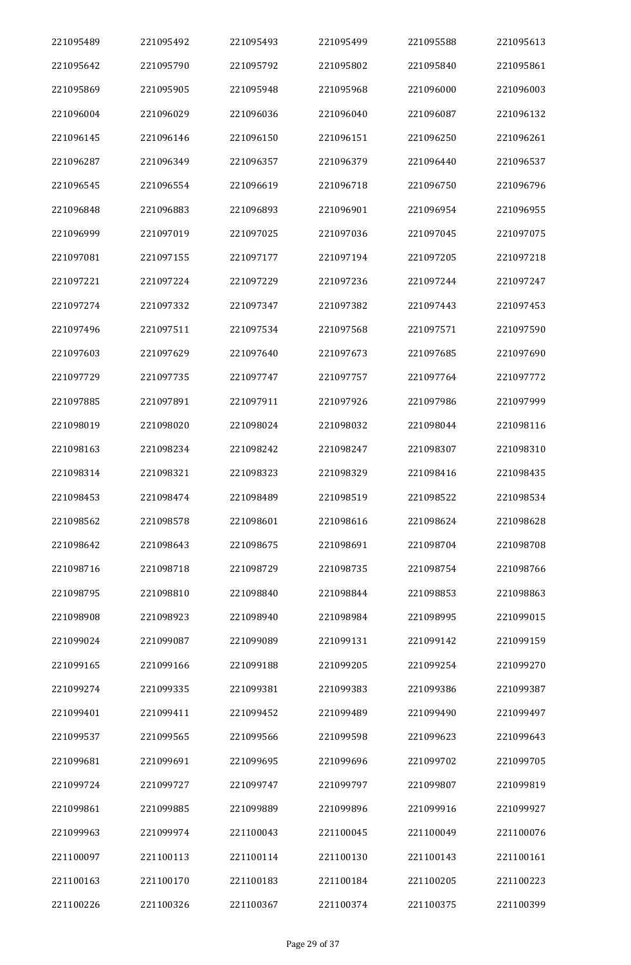| 221095489 | 221095492 | 221095493 | 221095499 | 221095588 | 221095613 |
|-----------|-----------|-----------|-----------|-----------|-----------|
| 221095642 | 221095790 | 221095792 | 221095802 | 221095840 | 221095861 |
| 221095869 | 221095905 | 221095948 | 221095968 | 221096000 | 221096003 |
| 221096004 | 221096029 | 221096036 | 221096040 | 221096087 | 221096132 |
| 221096145 | 221096146 | 221096150 | 221096151 | 221096250 | 221096261 |
| 221096287 | 221096349 | 221096357 | 221096379 | 221096440 | 221096537 |
| 221096545 | 221096554 | 221096619 | 221096718 | 221096750 | 221096796 |
| 221096848 | 221096883 | 221096893 | 221096901 | 221096954 | 221096955 |
| 221096999 | 221097019 | 221097025 | 221097036 | 221097045 | 221097075 |
| 221097081 | 221097155 | 221097177 | 221097194 | 221097205 | 221097218 |
| 221097221 | 221097224 | 221097229 | 221097236 | 221097244 | 221097247 |
| 221097274 | 221097332 | 221097347 | 221097382 | 221097443 | 221097453 |
| 221097496 | 221097511 | 221097534 | 221097568 | 221097571 | 221097590 |
| 221097603 | 221097629 | 221097640 | 221097673 | 221097685 | 221097690 |
| 221097729 | 221097735 | 221097747 | 221097757 | 221097764 | 221097772 |
| 221097885 | 221097891 | 221097911 | 221097926 | 221097986 | 221097999 |
| 221098019 | 221098020 | 221098024 | 221098032 | 221098044 | 221098116 |
| 221098163 | 221098234 | 221098242 | 221098247 | 221098307 | 221098310 |
| 221098314 | 221098321 | 221098323 | 221098329 | 221098416 | 221098435 |
| 221098453 | 221098474 | 221098489 | 221098519 | 221098522 | 221098534 |
| 221098562 | 221098578 | 221098601 | 221098616 | 221098624 | 221098628 |
| 221098642 | 221098643 | 221098675 | 221098691 | 221098704 | 221098708 |
| 221098716 | 221098718 | 221098729 | 221098735 | 221098754 | 221098766 |
| 221098795 | 221098810 | 221098840 | 221098844 | 221098853 | 221098863 |
| 221098908 | 221098923 | 221098940 | 221098984 | 221098995 | 221099015 |
| 221099024 | 221099087 | 221099089 | 221099131 | 221099142 | 221099159 |
| 221099165 | 221099166 | 221099188 | 221099205 | 221099254 | 221099270 |
| 221099274 | 221099335 | 221099381 | 221099383 | 221099386 | 221099387 |
| 221099401 | 221099411 | 221099452 | 221099489 | 221099490 | 221099497 |
| 221099537 | 221099565 | 221099566 | 221099598 | 221099623 | 221099643 |
| 221099681 | 221099691 | 221099695 | 221099696 | 221099702 | 221099705 |
| 221099724 | 221099727 | 221099747 | 221099797 | 221099807 | 221099819 |
| 221099861 | 221099885 | 221099889 | 221099896 | 221099916 | 221099927 |
| 221099963 | 221099974 | 221100043 | 221100045 | 221100049 | 221100076 |
| 221100097 | 221100113 | 221100114 | 221100130 | 221100143 | 221100161 |
| 221100163 | 221100170 | 221100183 | 221100184 | 221100205 | 221100223 |
| 221100226 | 221100326 | 221100367 | 221100374 | 221100375 | 221100399 |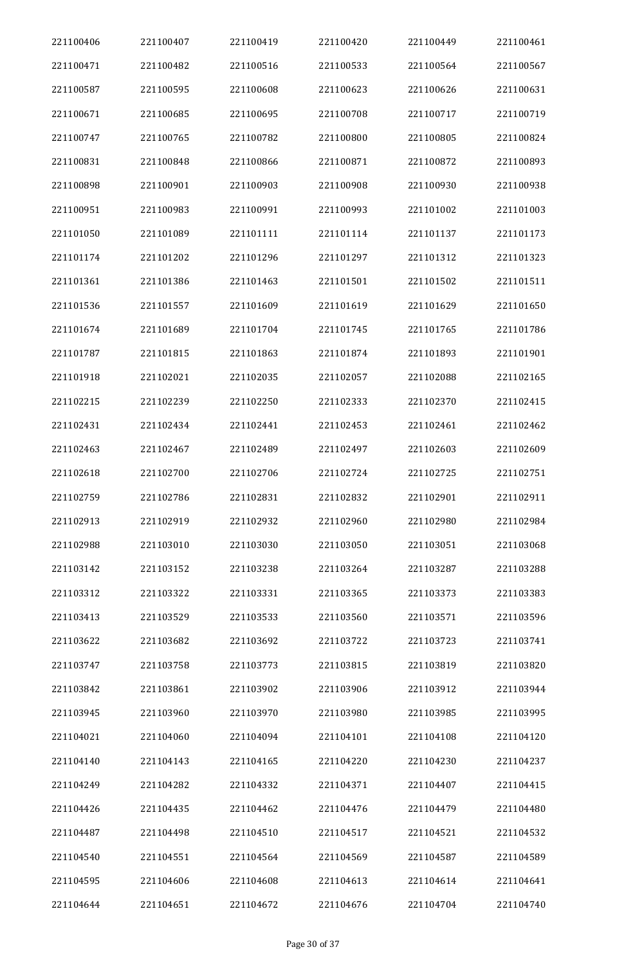| 221100406 | 221100407 | 221100419 | 221100420 | 221100449 | 221100461 |
|-----------|-----------|-----------|-----------|-----------|-----------|
| 221100471 | 221100482 | 221100516 | 221100533 | 221100564 | 221100567 |
| 221100587 | 221100595 | 221100608 | 221100623 | 221100626 | 221100631 |
| 221100671 | 221100685 | 221100695 | 221100708 | 221100717 | 221100719 |
| 221100747 | 221100765 | 221100782 | 221100800 | 221100805 | 221100824 |
| 221100831 | 221100848 | 221100866 | 221100871 | 221100872 | 221100893 |
| 221100898 | 221100901 | 221100903 | 221100908 | 221100930 | 221100938 |
| 221100951 | 221100983 | 221100991 | 221100993 | 221101002 | 221101003 |
| 221101050 | 221101089 | 221101111 | 221101114 | 221101137 | 221101173 |
| 221101174 | 221101202 | 221101296 | 221101297 | 221101312 | 221101323 |
| 221101361 | 221101386 | 221101463 | 221101501 | 221101502 | 221101511 |
| 221101536 | 221101557 | 221101609 | 221101619 | 221101629 | 221101650 |
| 221101674 | 221101689 | 221101704 | 221101745 | 221101765 | 221101786 |
| 221101787 | 221101815 | 221101863 | 221101874 | 221101893 | 221101901 |
| 221101918 | 221102021 | 221102035 | 221102057 | 221102088 | 221102165 |
| 221102215 | 221102239 | 221102250 | 221102333 | 221102370 | 221102415 |
| 221102431 | 221102434 | 221102441 | 221102453 | 221102461 | 221102462 |
| 221102463 | 221102467 | 221102489 | 221102497 | 221102603 | 221102609 |
| 221102618 | 221102700 | 221102706 | 221102724 | 221102725 | 221102751 |
| 221102759 | 221102786 | 221102831 | 221102832 | 221102901 | 221102911 |
| 221102913 | 221102919 | 221102932 | 221102960 | 221102980 | 221102984 |
| 221102988 | 221103010 | 221103030 | 221103050 | 221103051 | 221103068 |
| 221103142 | 221103152 | 221103238 | 221103264 | 221103287 | 221103288 |
| 221103312 | 221103322 | 221103331 | 221103365 | 221103373 | 221103383 |
| 221103413 | 221103529 | 221103533 | 221103560 | 221103571 | 221103596 |
| 221103622 | 221103682 | 221103692 | 221103722 | 221103723 | 221103741 |
| 221103747 | 221103758 | 221103773 | 221103815 | 221103819 | 221103820 |
| 221103842 | 221103861 | 221103902 | 221103906 | 221103912 | 221103944 |
| 221103945 | 221103960 | 221103970 | 221103980 | 221103985 | 221103995 |
| 221104021 | 221104060 | 221104094 | 221104101 | 221104108 | 221104120 |
| 221104140 | 221104143 | 221104165 | 221104220 | 221104230 | 221104237 |
| 221104249 | 221104282 | 221104332 | 221104371 | 221104407 | 221104415 |
| 221104426 | 221104435 | 221104462 | 221104476 | 221104479 | 221104480 |
| 221104487 | 221104498 | 221104510 | 221104517 | 221104521 | 221104532 |
| 221104540 | 221104551 | 221104564 | 221104569 | 221104587 | 221104589 |
| 221104595 | 221104606 | 221104608 | 221104613 | 221104614 | 221104641 |
| 221104644 | 221104651 | 221104672 | 221104676 | 221104704 | 221104740 |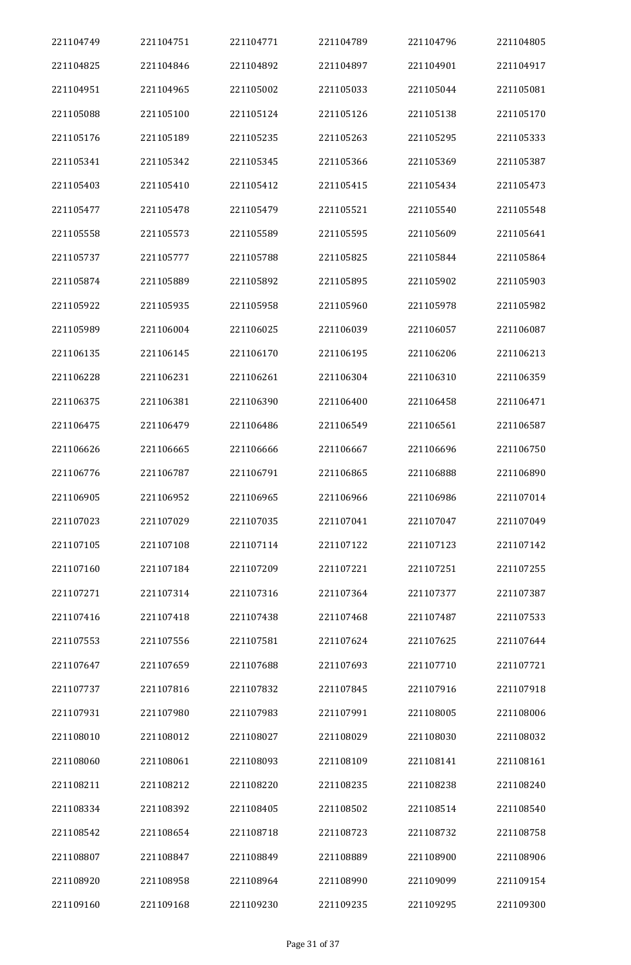| 221104749 | 221104751 | 221104771 | 221104789 | 221104796 | 221104805 |
|-----------|-----------|-----------|-----------|-----------|-----------|
| 221104825 | 221104846 | 221104892 | 221104897 | 221104901 | 221104917 |
| 221104951 | 221104965 | 221105002 | 221105033 | 221105044 | 221105081 |
| 221105088 | 221105100 | 221105124 | 221105126 | 221105138 | 221105170 |
| 221105176 | 221105189 | 221105235 | 221105263 | 221105295 | 221105333 |
| 221105341 | 221105342 | 221105345 | 221105366 | 221105369 | 221105387 |
| 221105403 | 221105410 | 221105412 | 221105415 | 221105434 | 221105473 |
| 221105477 | 221105478 | 221105479 | 221105521 | 221105540 | 221105548 |
| 221105558 | 221105573 | 221105589 | 221105595 | 221105609 | 221105641 |
| 221105737 | 221105777 | 221105788 | 221105825 | 221105844 | 221105864 |
| 221105874 | 221105889 | 221105892 | 221105895 | 221105902 | 221105903 |
| 221105922 | 221105935 | 221105958 | 221105960 | 221105978 | 221105982 |
| 221105989 | 221106004 | 221106025 | 221106039 | 221106057 | 221106087 |
| 221106135 | 221106145 | 221106170 | 221106195 | 221106206 | 221106213 |
| 221106228 | 221106231 | 221106261 | 221106304 | 221106310 | 221106359 |
| 221106375 | 221106381 | 221106390 | 221106400 | 221106458 | 221106471 |
| 221106475 | 221106479 | 221106486 | 221106549 | 221106561 | 221106587 |
| 221106626 | 221106665 | 221106666 | 221106667 | 221106696 | 221106750 |
| 221106776 | 221106787 | 221106791 | 221106865 | 221106888 | 221106890 |
| 221106905 | 221106952 | 221106965 | 221106966 | 221106986 | 221107014 |
| 221107023 | 221107029 | 221107035 | 221107041 | 221107047 | 221107049 |
| 221107105 | 221107108 | 221107114 | 221107122 | 221107123 | 221107142 |
| 221107160 | 221107184 | 221107209 | 221107221 | 221107251 | 221107255 |
| 221107271 | 221107314 | 221107316 | 221107364 | 221107377 | 221107387 |
| 221107416 | 221107418 | 221107438 | 221107468 | 221107487 | 221107533 |
| 221107553 | 221107556 | 221107581 | 221107624 | 221107625 | 221107644 |
| 221107647 | 221107659 | 221107688 | 221107693 | 221107710 | 221107721 |
| 221107737 | 221107816 | 221107832 | 221107845 | 221107916 | 221107918 |
| 221107931 | 221107980 | 221107983 | 221107991 | 221108005 | 221108006 |
| 221108010 | 221108012 | 221108027 | 221108029 | 221108030 | 221108032 |
| 221108060 | 221108061 | 221108093 | 221108109 | 221108141 | 221108161 |
| 221108211 | 221108212 | 221108220 | 221108235 | 221108238 | 221108240 |
| 221108334 | 221108392 | 221108405 | 221108502 | 221108514 | 221108540 |
| 221108542 | 221108654 | 221108718 | 221108723 | 221108732 | 221108758 |
| 221108807 | 221108847 | 221108849 | 221108889 | 221108900 | 221108906 |
| 221108920 | 221108958 | 221108964 | 221108990 | 221109099 | 221109154 |
| 221109160 | 221109168 | 221109230 | 221109235 | 221109295 | 221109300 |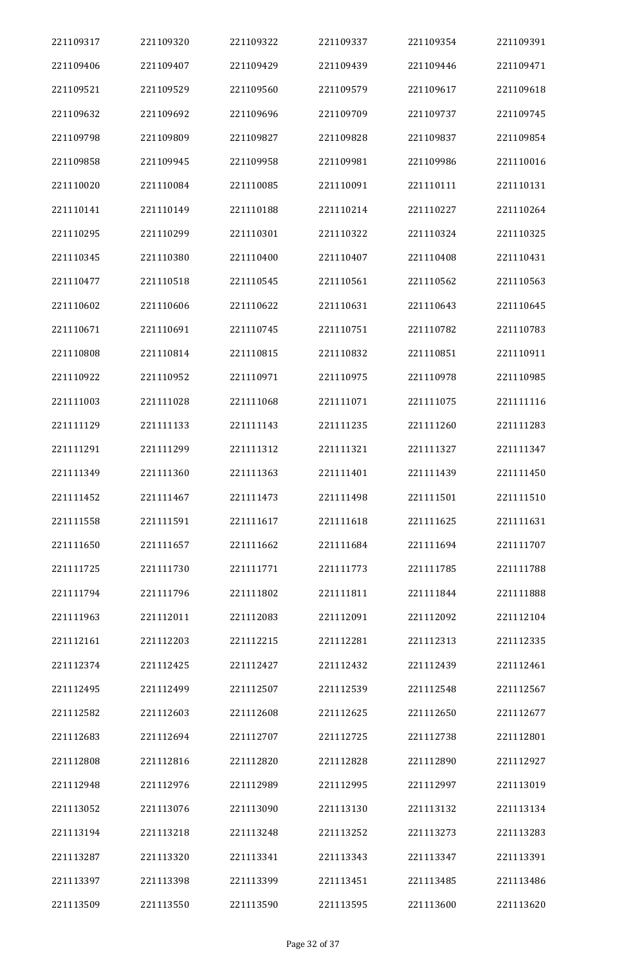| 221109317 | 221109320 | 221109322 | 221109337 | 221109354 | 221109391 |
|-----------|-----------|-----------|-----------|-----------|-----------|
| 221109406 | 221109407 | 221109429 | 221109439 | 221109446 | 221109471 |
| 221109521 | 221109529 | 221109560 | 221109579 | 221109617 | 221109618 |
| 221109632 | 221109692 | 221109696 | 221109709 | 221109737 | 221109745 |
| 221109798 | 221109809 | 221109827 | 221109828 | 221109837 | 221109854 |
| 221109858 | 221109945 | 221109958 | 221109981 | 221109986 | 221110016 |
| 221110020 | 221110084 | 221110085 | 221110091 | 221110111 | 221110131 |
| 221110141 | 221110149 | 221110188 | 221110214 | 221110227 | 221110264 |
| 221110295 | 221110299 | 221110301 | 221110322 | 221110324 | 221110325 |
| 221110345 | 221110380 | 221110400 | 221110407 | 221110408 | 221110431 |
| 221110477 | 221110518 | 221110545 | 221110561 | 221110562 | 221110563 |
| 221110602 | 221110606 | 221110622 | 221110631 | 221110643 | 221110645 |
| 221110671 | 221110691 | 221110745 | 221110751 | 221110782 | 221110783 |
| 221110808 | 221110814 | 221110815 | 221110832 | 221110851 | 221110911 |
| 221110922 | 221110952 | 221110971 | 221110975 | 221110978 | 221110985 |
| 221111003 | 221111028 | 221111068 | 221111071 | 221111075 | 221111116 |
| 221111129 | 221111133 | 221111143 | 221111235 | 221111260 | 221111283 |
| 221111291 | 221111299 | 221111312 | 221111321 | 221111327 | 221111347 |
| 221111349 | 221111360 | 221111363 | 221111401 | 221111439 | 221111450 |
| 221111452 | 221111467 | 221111473 | 221111498 | 221111501 | 221111510 |
| 221111558 | 221111591 | 221111617 | 221111618 | 221111625 | 221111631 |
| 221111650 | 221111657 | 221111662 | 221111684 | 221111694 | 221111707 |
| 221111725 | 221111730 | 221111771 | 221111773 | 221111785 | 221111788 |
| 221111794 | 221111796 | 221111802 | 221111811 | 221111844 | 221111888 |
| 221111963 | 221112011 | 221112083 | 221112091 | 221112092 | 221112104 |
| 221112161 | 221112203 | 221112215 | 221112281 | 221112313 | 221112335 |
| 221112374 | 221112425 | 221112427 | 221112432 | 221112439 | 221112461 |
| 221112495 | 221112499 | 221112507 | 221112539 | 221112548 | 221112567 |
| 221112582 | 221112603 | 221112608 | 221112625 | 221112650 | 221112677 |
| 221112683 | 221112694 | 221112707 | 221112725 | 221112738 | 221112801 |
| 221112808 | 221112816 | 221112820 | 221112828 | 221112890 | 221112927 |
| 221112948 | 221112976 | 221112989 | 221112995 | 221112997 | 221113019 |
| 221113052 | 221113076 | 221113090 | 221113130 | 221113132 | 221113134 |
| 221113194 | 221113218 | 221113248 | 221113252 | 221113273 | 221113283 |
| 221113287 | 221113320 | 221113341 | 221113343 | 221113347 | 221113391 |
| 221113397 | 221113398 | 221113399 | 221113451 | 221113485 | 221113486 |
| 221113509 | 221113550 | 221113590 | 221113595 | 221113600 | 221113620 |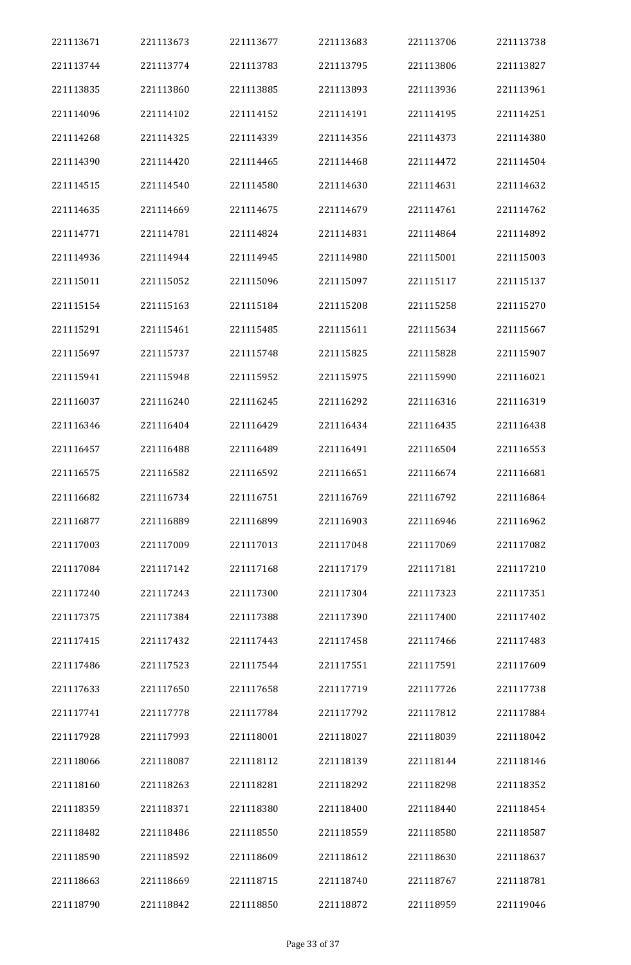| 221113671 | 221113673 | 221113677 | 221113683 | 221113706 | 221113738 |
|-----------|-----------|-----------|-----------|-----------|-----------|
| 221113744 | 221113774 | 221113783 | 221113795 | 221113806 | 221113827 |
| 221113835 | 221113860 | 221113885 | 221113893 | 221113936 | 221113961 |
| 221114096 | 221114102 | 221114152 | 221114191 | 221114195 | 221114251 |
| 221114268 | 221114325 | 221114339 | 221114356 | 221114373 | 221114380 |
| 221114390 | 221114420 | 221114465 | 221114468 | 221114472 | 221114504 |
| 221114515 | 221114540 | 221114580 | 221114630 | 221114631 | 221114632 |
| 221114635 | 221114669 | 221114675 | 221114679 | 221114761 | 221114762 |
| 221114771 | 221114781 | 221114824 | 221114831 | 221114864 | 221114892 |
| 221114936 | 221114944 | 221114945 | 221114980 | 221115001 | 221115003 |
| 221115011 | 221115052 | 221115096 | 221115097 | 221115117 | 221115137 |
| 221115154 | 221115163 | 221115184 | 221115208 | 221115258 | 221115270 |
| 221115291 | 221115461 | 221115485 | 221115611 | 221115634 | 221115667 |
| 221115697 | 221115737 | 221115748 | 221115825 | 221115828 | 221115907 |
| 221115941 | 221115948 | 221115952 | 221115975 | 221115990 | 221116021 |
| 221116037 | 221116240 | 221116245 | 221116292 | 221116316 | 221116319 |
| 221116346 | 221116404 | 221116429 | 221116434 | 221116435 | 221116438 |
| 221116457 | 221116488 | 221116489 | 221116491 | 221116504 | 221116553 |
| 221116575 | 221116582 | 221116592 | 221116651 | 221116674 | 221116681 |
| 221116682 | 221116734 | 221116751 | 221116769 | 221116792 | 221116864 |
| 221116877 | 221116889 | 221116899 | 221116903 | 221116946 | 221116962 |
| 221117003 | 221117009 | 221117013 | 221117048 | 221117069 | 221117082 |
| 221117084 | 221117142 | 221117168 | 221117179 | 221117181 | 221117210 |
| 221117240 | 221117243 | 221117300 | 221117304 | 221117323 | 221117351 |
| 221117375 | 221117384 | 221117388 | 221117390 | 221117400 | 221117402 |
| 221117415 | 221117432 | 221117443 | 221117458 | 221117466 | 221117483 |
| 221117486 | 221117523 | 221117544 | 221117551 | 221117591 | 221117609 |
| 221117633 | 221117650 | 221117658 | 221117719 | 221117726 | 221117738 |
| 221117741 | 221117778 | 221117784 | 221117792 | 221117812 | 221117884 |
| 221117928 | 221117993 | 221118001 | 221118027 | 221118039 | 221118042 |
| 221118066 | 221118087 | 221118112 | 221118139 | 221118144 | 221118146 |
| 221118160 | 221118263 | 221118281 | 221118292 | 221118298 | 221118352 |
| 221118359 | 221118371 | 221118380 | 221118400 | 221118440 | 221118454 |
| 221118482 | 221118486 | 221118550 | 221118559 | 221118580 | 221118587 |
| 221118590 | 221118592 | 221118609 | 221118612 | 221118630 | 221118637 |
| 221118663 | 221118669 | 221118715 | 221118740 | 221118767 | 221118781 |
| 221118790 | 221118842 | 221118850 | 221118872 | 221118959 | 221119046 |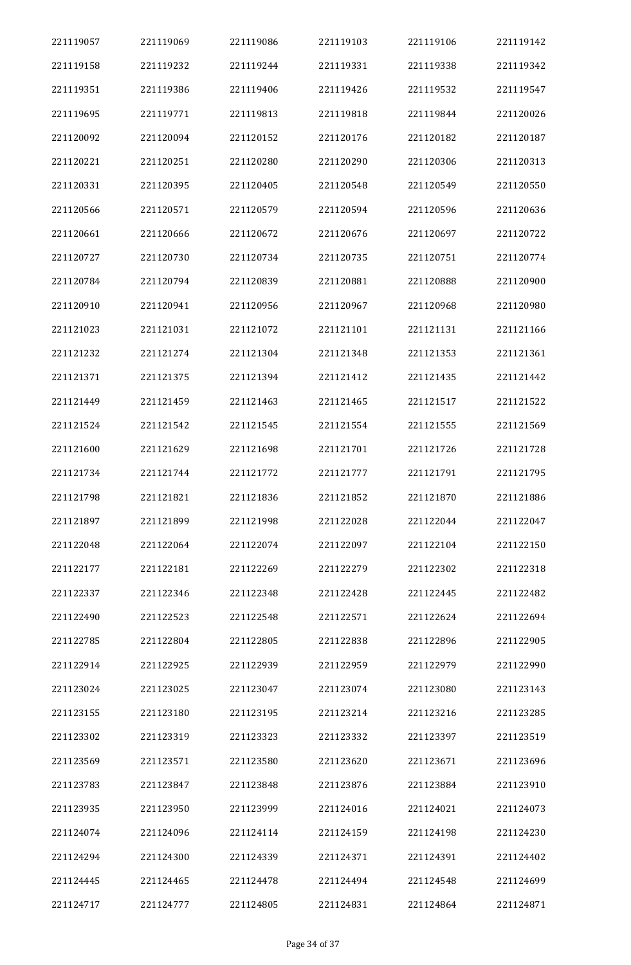| 221119057 | 221119069 | 221119086 | 221119103 | 221119106 | 221119142 |
|-----------|-----------|-----------|-----------|-----------|-----------|
| 221119158 | 221119232 | 221119244 | 221119331 | 221119338 | 221119342 |
| 221119351 | 221119386 | 221119406 | 221119426 | 221119532 | 221119547 |
| 221119695 | 221119771 | 221119813 | 221119818 | 221119844 | 221120026 |
| 221120092 | 221120094 | 221120152 | 221120176 | 221120182 | 221120187 |
| 221120221 | 221120251 | 221120280 | 221120290 | 221120306 | 221120313 |
| 221120331 | 221120395 | 221120405 | 221120548 | 221120549 | 221120550 |
| 221120566 | 221120571 | 221120579 | 221120594 | 221120596 | 221120636 |
| 221120661 | 221120666 | 221120672 | 221120676 | 221120697 | 221120722 |
| 221120727 | 221120730 | 221120734 | 221120735 | 221120751 | 221120774 |
| 221120784 | 221120794 | 221120839 | 221120881 | 221120888 | 221120900 |
| 221120910 | 221120941 | 221120956 | 221120967 | 221120968 | 221120980 |
| 221121023 | 221121031 | 221121072 | 221121101 | 221121131 | 221121166 |
| 221121232 | 221121274 | 221121304 | 221121348 | 221121353 | 221121361 |
| 221121371 | 221121375 | 221121394 | 221121412 | 221121435 | 221121442 |
| 221121449 | 221121459 | 221121463 | 221121465 | 221121517 | 221121522 |
| 221121524 | 221121542 | 221121545 | 221121554 | 221121555 | 221121569 |
| 221121600 | 221121629 | 221121698 | 221121701 | 221121726 | 221121728 |
| 221121734 | 221121744 | 221121772 | 221121777 | 221121791 | 221121795 |
| 221121798 | 221121821 | 221121836 | 221121852 | 221121870 | 221121886 |
| 221121897 | 221121899 | 221121998 | 221122028 | 221122044 | 221122047 |
| 221122048 | 221122064 | 221122074 | 221122097 | 221122104 | 221122150 |
| 221122177 | 221122181 | 221122269 | 221122279 | 221122302 | 221122318 |
| 221122337 | 221122346 | 221122348 | 221122428 | 221122445 | 221122482 |
| 221122490 | 221122523 | 221122548 | 221122571 | 221122624 | 221122694 |
| 221122785 | 221122804 | 221122805 | 221122838 | 221122896 | 221122905 |
| 221122914 | 221122925 | 221122939 | 221122959 | 221122979 | 221122990 |
| 221123024 | 221123025 | 221123047 | 221123074 | 221123080 | 221123143 |
| 221123155 | 221123180 | 221123195 | 221123214 | 221123216 | 221123285 |
| 221123302 | 221123319 | 221123323 | 221123332 | 221123397 | 221123519 |
| 221123569 | 221123571 | 221123580 | 221123620 | 221123671 | 221123696 |
| 221123783 | 221123847 | 221123848 | 221123876 | 221123884 | 221123910 |
| 221123935 | 221123950 | 221123999 | 221124016 | 221124021 | 221124073 |
| 221124074 | 221124096 | 221124114 | 221124159 | 221124198 | 221124230 |
| 221124294 | 221124300 | 221124339 | 221124371 | 221124391 | 221124402 |
| 221124445 | 221124465 | 221124478 | 221124494 | 221124548 | 221124699 |
| 221124717 | 221124777 | 221124805 | 221124831 | 221124864 | 221124871 |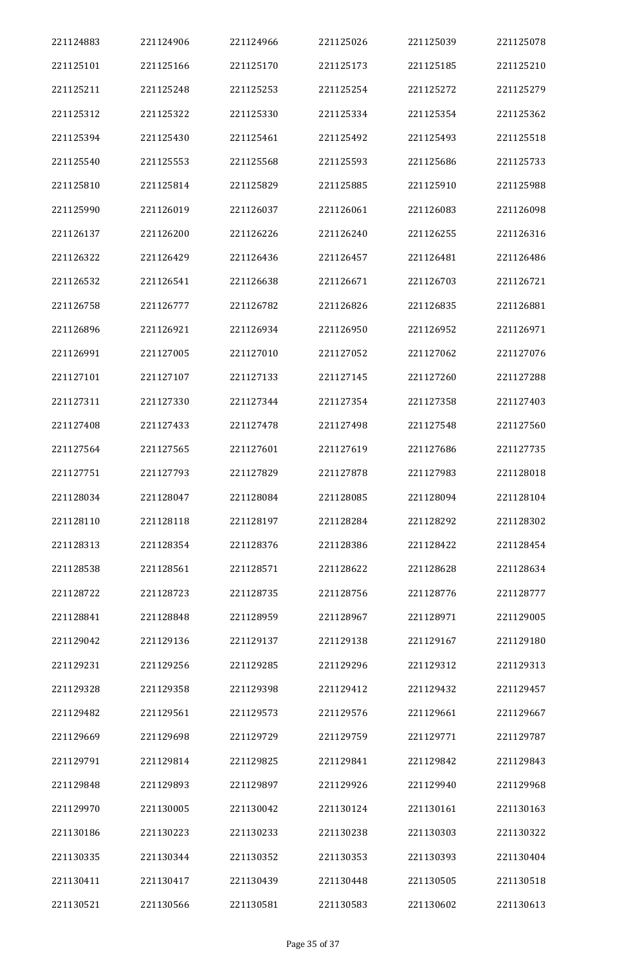| 221124883 | 221124906 | 221124966 | 221125026 | 221125039 | 221125078 |
|-----------|-----------|-----------|-----------|-----------|-----------|
| 221125101 | 221125166 | 221125170 | 221125173 | 221125185 | 221125210 |
| 221125211 | 221125248 | 221125253 | 221125254 | 221125272 | 221125279 |
| 221125312 | 221125322 | 221125330 | 221125334 | 221125354 | 221125362 |
| 221125394 | 221125430 | 221125461 | 221125492 | 221125493 | 221125518 |
| 221125540 | 221125553 | 221125568 | 221125593 | 221125686 | 221125733 |
| 221125810 | 221125814 | 221125829 | 221125885 | 221125910 | 221125988 |
| 221125990 | 221126019 | 221126037 | 221126061 | 221126083 | 221126098 |
| 221126137 | 221126200 | 221126226 | 221126240 | 221126255 | 221126316 |
| 221126322 | 221126429 | 221126436 | 221126457 | 221126481 | 221126486 |
| 221126532 | 221126541 | 221126638 | 221126671 | 221126703 | 221126721 |
| 221126758 | 221126777 | 221126782 | 221126826 | 221126835 | 221126881 |
| 221126896 | 221126921 | 221126934 | 221126950 | 221126952 | 221126971 |
| 221126991 | 221127005 | 221127010 | 221127052 | 221127062 | 221127076 |
| 221127101 | 221127107 | 221127133 | 221127145 | 221127260 | 221127288 |
| 221127311 | 221127330 | 221127344 | 221127354 | 221127358 | 221127403 |
| 221127408 | 221127433 | 221127478 | 221127498 | 221127548 | 221127560 |
| 221127564 | 221127565 | 221127601 | 221127619 | 221127686 | 221127735 |
| 221127751 | 221127793 | 221127829 | 221127878 | 221127983 | 221128018 |
| 221128034 | 221128047 | 221128084 | 221128085 | 221128094 | 221128104 |
| 221128110 | 221128118 | 221128197 | 221128284 | 221128292 | 221128302 |
| 221128313 | 221128354 | 221128376 | 221128386 | 221128422 | 221128454 |
| 221128538 | 221128561 | 221128571 | 221128622 | 221128628 | 221128634 |
| 221128722 | 221128723 | 221128735 | 221128756 | 221128776 | 221128777 |
| 221128841 | 221128848 | 221128959 | 221128967 | 221128971 | 221129005 |
| 221129042 | 221129136 | 221129137 | 221129138 | 221129167 | 221129180 |
| 221129231 | 221129256 | 221129285 | 221129296 | 221129312 | 221129313 |
| 221129328 | 221129358 | 221129398 | 221129412 | 221129432 | 221129457 |
| 221129482 | 221129561 | 221129573 | 221129576 | 221129661 | 221129667 |
| 221129669 | 221129698 | 221129729 | 221129759 | 221129771 | 221129787 |
| 221129791 | 221129814 | 221129825 | 221129841 | 221129842 | 221129843 |
| 221129848 | 221129893 | 221129897 | 221129926 | 221129940 | 221129968 |
| 221129970 | 221130005 | 221130042 | 221130124 | 221130161 | 221130163 |
| 221130186 | 221130223 | 221130233 | 221130238 | 221130303 | 221130322 |
| 221130335 | 221130344 | 221130352 | 221130353 | 221130393 | 221130404 |
| 221130411 | 221130417 | 221130439 | 221130448 | 221130505 | 221130518 |
| 221130521 | 221130566 | 221130581 | 221130583 | 221130602 | 221130613 |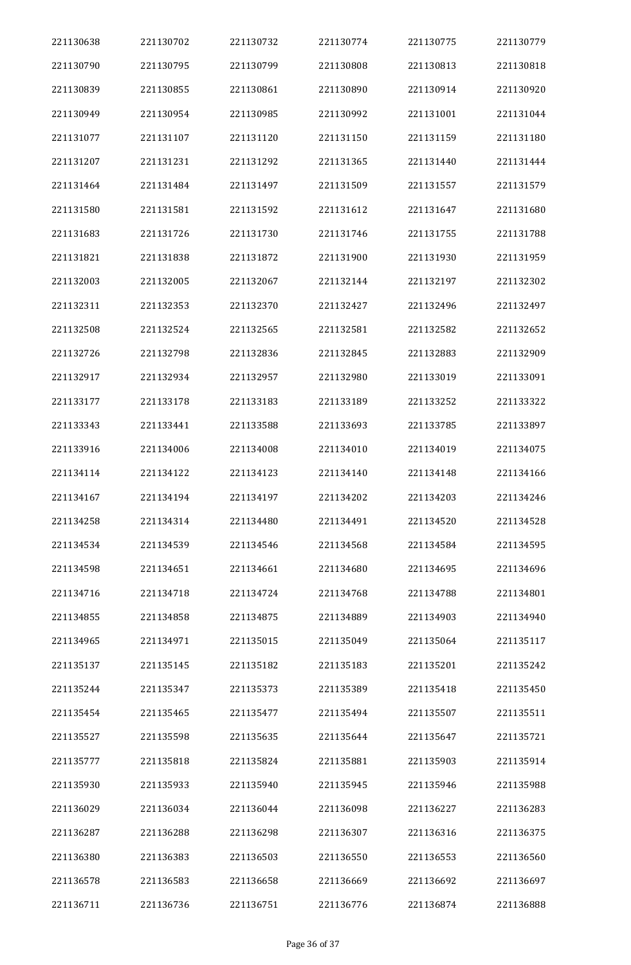| 221130638 | 221130702 | 221130732 | 221130774 | 221130775 | 221130779 |
|-----------|-----------|-----------|-----------|-----------|-----------|
| 221130790 | 221130795 | 221130799 | 221130808 | 221130813 | 221130818 |
| 221130839 | 221130855 | 221130861 | 221130890 | 221130914 | 221130920 |
| 221130949 | 221130954 | 221130985 | 221130992 | 221131001 | 221131044 |
| 221131077 | 221131107 | 221131120 | 221131150 | 221131159 | 221131180 |
| 221131207 | 221131231 | 221131292 | 221131365 | 221131440 | 221131444 |
| 221131464 | 221131484 | 221131497 | 221131509 | 221131557 | 221131579 |
| 221131580 | 221131581 | 221131592 | 221131612 | 221131647 | 221131680 |
| 221131683 | 221131726 | 221131730 | 221131746 | 221131755 | 221131788 |
| 221131821 | 221131838 | 221131872 | 221131900 | 221131930 | 221131959 |
| 221132003 | 221132005 | 221132067 | 221132144 | 221132197 | 221132302 |
| 221132311 | 221132353 | 221132370 | 221132427 | 221132496 | 221132497 |
| 221132508 | 221132524 | 221132565 | 221132581 | 221132582 | 221132652 |
| 221132726 | 221132798 | 221132836 | 221132845 | 221132883 | 221132909 |
| 221132917 | 221132934 | 221132957 | 221132980 | 221133019 | 221133091 |
| 221133177 | 221133178 | 221133183 | 221133189 | 221133252 | 221133322 |
| 221133343 | 221133441 | 221133588 | 221133693 | 221133785 | 221133897 |
| 221133916 | 221134006 | 221134008 | 221134010 | 221134019 | 221134075 |
| 221134114 | 221134122 | 221134123 | 221134140 | 221134148 | 221134166 |
| 221134167 | 221134194 | 221134197 | 221134202 | 221134203 | 221134246 |
| 221134258 | 221134314 | 221134480 | 221134491 | 221134520 | 221134528 |
| 221134534 | 221134539 | 221134546 | 221134568 | 221134584 | 221134595 |
| 221134598 | 221134651 | 221134661 | 221134680 | 221134695 | 221134696 |
| 221134716 | 221134718 | 221134724 | 221134768 | 221134788 | 221134801 |
| 221134855 | 221134858 | 221134875 | 221134889 | 221134903 | 221134940 |
| 221134965 | 221134971 | 221135015 | 221135049 | 221135064 | 221135117 |
| 221135137 | 221135145 | 221135182 | 221135183 | 221135201 | 221135242 |
| 221135244 | 221135347 | 221135373 | 221135389 | 221135418 | 221135450 |
| 221135454 | 221135465 | 221135477 | 221135494 | 221135507 | 221135511 |
| 221135527 | 221135598 | 221135635 | 221135644 | 221135647 | 221135721 |
| 221135777 | 221135818 | 221135824 | 221135881 | 221135903 | 221135914 |
| 221135930 | 221135933 | 221135940 | 221135945 | 221135946 | 221135988 |
| 221136029 | 221136034 | 221136044 | 221136098 | 221136227 | 221136283 |
| 221136287 | 221136288 | 221136298 | 221136307 | 221136316 | 221136375 |
| 221136380 | 221136383 | 221136503 | 221136550 | 221136553 | 221136560 |
| 221136578 | 221136583 | 221136658 | 221136669 | 221136692 | 221136697 |
| 221136711 | 221136736 | 221136751 | 221136776 | 221136874 | 221136888 |